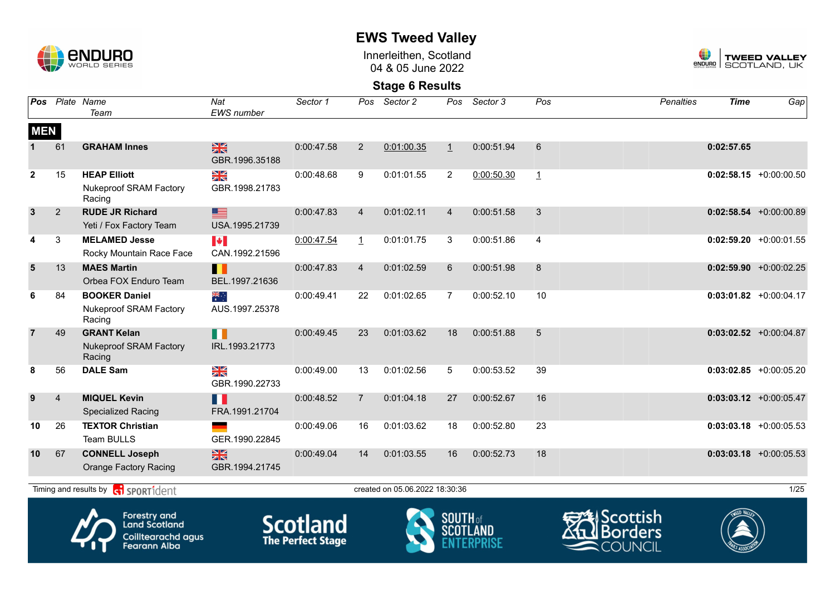

Innerleithen, Scotland 04 & 05 June 2022



**Stage 6 Results**

| Pos            |                | Plate Name<br>Team                                              | Nat<br><b>EWS</b> number                | Sector 1   | Pos            | Sector 2                       | Pos                     | Sector 3   | Pos            | <b>Penalties</b>     | <b>Time</b>  | Gap                       |
|----------------|----------------|-----------------------------------------------------------------|-----------------------------------------|------------|----------------|--------------------------------|-------------------------|------------|----------------|----------------------|--------------|---------------------------|
| <b>MEN</b>     |                |                                                                 |                                         |            |                |                                |                         |            |                |                      |              |                           |
|                | 61             | <b>GRAHAM Innes</b>                                             | $\frac{N}{N}$<br>GBR.1996.35188         | 0:00:47.58 | $\overline{2}$ | 0:01:00.35                     | $\mathbf{1}$            | 0:00:51.94 | 6              |                      | 0:02:57.65   |                           |
| $\mathbf{2}$   | 15             | <b>HEAP Elliott</b><br><b>Nukeproof SRAM Factory</b><br>Racing  | NK<br>ZK<br>GBR.1998.21783              | 0:00:48.68 | 9              | 0:01:01.55                     | $\overline{2}$          | 0:00:50.30 | $\overline{1}$ |                      |              | $0:02:58.15$ +0:00:00.50  |
| $\mathbf{3}$   | 2              | <b>RUDE JR Richard</b><br>Yeti / Fox Factory Team               | ▇<br>USA.1995.21739                     | 0:00:47.83 | $\overline{4}$ | 0:01:02.11                     | $\overline{4}$          | 0:00:51.58 | 3              |                      |              | $0:02:58.54$ +0:00:00.89  |
| 4              | $\mathbf{3}$   | <b>MELAMED Jesse</b><br>Rocky Mountain Race Face                | $\blacktriangleright$<br>CAN.1992.21596 | 0:00:47.54 | $\overline{1}$ | 0:01:01.75                     | 3                       | 0:00:51.86 | 4              |                      |              | $0:02:59.20 +0:00:01.55$  |
| $5\phantom{1}$ | 13             | <b>MAES Martin</b><br>Orbea FOX Enduro Team                     | П<br>BEL.1997.21636                     | 0:00:47.83 | $\overline{4}$ | 0:01:02.59                     | 6                       | 0:00:51.98 | 8              |                      |              | $0:02:59.90 + 0:00:02.25$ |
| 6              | 84             | <b>BOOKER Daniel</b><br><b>Nukeproof SRAM Factory</b><br>Racing | ्र≋<br>∗<br>AUS.1997.25378              | 0:00:49.41 | 22             | 0:01:02.65                     | $\overline{7}$          | 0:00:52.10 | 10             |                      |              | $0:03:01.82$ +0:00:04.17  |
| $\overline{7}$ | 49             | <b>GRANT Kelan</b><br><b>Nukeproof SRAM Factory</b><br>Racing   | N N<br>IRL.1993.21773                   | 0:00:49.45 | 23             | 0:01:03.62                     | 18                      | 0:00:51.88 | 5              |                      |              | $0:03:02.52$ +0:00:04.87  |
| 8              | 56             | <b>DALE Sam</b>                                                 | NK<br>Ak<br>GBR.1990.22733              | 0:00:49.00 | 13             | 0:01:02.56                     | 5                       | 0:00:53.52 | 39             |                      |              | $0:03:02.85$ +0:00:05.20  |
| 9              | $\overline{4}$ | <b>MIQUEL Kevin</b><br><b>Specialized Racing</b>                | H<br>FRA.1991.21704                     | 0:00:48.52 | $\overline{7}$ | 0:01:04.18                     | 27                      | 0:00:52.67 | 16             |                      |              | $0:03:03.12$ +0:00:05.47  |
| 10             | 26             | <b>TEXTOR Christian</b><br>Team BULLS                           | GER.1990.22845                          | 0:00:49.06 | 16             | 0:01:03.62                     | 18                      | 0:00:52.80 | 23             |                      |              | $0:03:03.18$ +0:00:05.53  |
| 10             | 67             | <b>CONNELL Joseph</b><br><b>Orange Factory Racing</b>           | 黑<br>GBR.1994.21745                     | 0:00:49.04 | 14             | 0:01:03.55                     | 16                      | 0:00:52.73 | 18             |                      |              | $0:03:03.18$ +0:00:05.53  |
|                |                | Timing and results by <b>container that the SPORT1</b> dent     |                                         |            |                | created on 05.06.2022 18:30:36 |                         |            |                |                      |              | 1/25                      |
|                |                | Λ<br><b>Forestry and</b>                                        | ◚                                       |            |                |                                | $C$ $C$ $C$ $H$ $C$ $F$ |            |                | <b>EXEL</b> Scottish | TWEED VALLEY |                           |



Land Scotland Coilltearachd agus<br>Fearann Alba







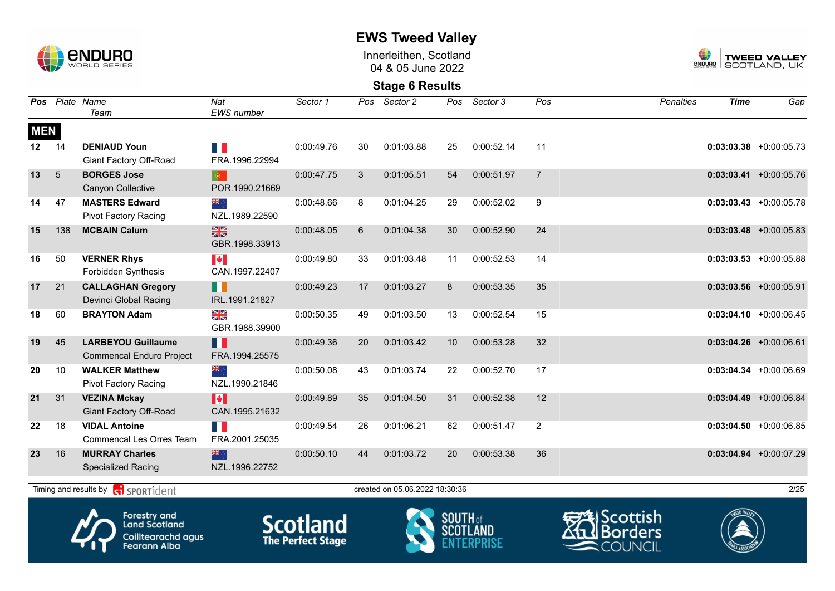

Innerleithen, Scotland 04 & 05 June 2022



#### **Stage 6 Results**

| Pos              |            | Plate Name<br>Team                                           | Nat<br><b>EWS</b> number                | Sector 1   | Pos | Sector 2                       | Pos | Sector 3   | Pos            | <b>Penalties</b> | <b>Time</b> | Gap                        |
|------------------|------------|--------------------------------------------------------------|-----------------------------------------|------------|-----|--------------------------------|-----|------------|----------------|------------------|-------------|----------------------------|
| <b>MEN</b>       |            |                                                              |                                         |            |     |                                |     |            |                |                  |             |                            |
| 12 <sup>12</sup> | 14         | <b>DENIAUD Youn</b><br>Giant Factory Off-Road                | H<br>FRA.1996.22994                     | 0:00:49.76 | 30  | 0:01:03.88                     | 25  | 0:00:52.14 | 11             |                  |             | $0:03:03.38$ +0:00:05.73   |
| 13               | $\sqrt{5}$ | <b>BORGES Jose</b><br>Canyon Collective                      | $\bullet$<br>POR.1990.21669             | 0:00:47.75 | 3   | 0:01:05.51                     | 54  | 0:00:51.97 | $\overline{7}$ |                  |             | $0:03:03.41$ +0:00:05.76   |
| 14               | 47         | <b>MASTERS Edward</b><br><b>Pivot Factory Racing</b>         | ‱्र<br>NZL.1989.22590                   | 0:00:48.66 | 8   | 0:01:04.25                     | 29  | 0:00:52.02 | 9              |                  |             | $0:03:03.43 + 0:00:05.78$  |
| 15               | 138        | <b>MCBAIN Calum</b>                                          | $\frac{N}{N}$<br>GBR.1998.33913         | 0:00:48.05 | 6   | 0:01:04.38                     | 30  | 0:00:52.90 | 24             |                  |             | $0:03:03.48$ +0:00:05.83   |
| 16               | 50         | <b>VERNER Rhys</b><br>Forbidden Synthesis                    | $\blacktriangleright$<br>CAN.1997.22407 | 0:00:49.80 | 33  | 0:01:03.48                     | 11  | 0:00:52.53 | 14             |                  |             | $0:03:03.53$ $+0:00:05.88$ |
| 17               | 21         | <b>CALLAGHAN Gregory</b><br>Devinci Global Racing            | ╻╻<br>IRL.1991.21827                    | 0:00:49.23 | 17  | 0:01:03.27                     | 8   | 0:00:53.35 | 35             |                  |             | $0:03:03.56$ +0:00:05.91   |
| 18               | 60         | <b>BRAYTON Adam</b>                                          | ≥k<br>GBR.1988.39900                    | 0:00:50.35 | 49  | 0:01:03.50                     | 13  | 0:00:52.54 | 15             |                  |             | $0:03:04.10 + 0:00:06.45$  |
| 19               | 45         | <b>LARBEYOU Guillaume</b><br><b>Commencal Enduro Project</b> | H<br>FRA.1994.25575                     | 0:00:49.36 | 20  | 0:01:03.42                     | 10  | 0:00:53.28 | 32             |                  |             | $0:03:04.26 + 0:00:06.61$  |
| 20               | 10         | <b>WALKER Matthew</b><br><b>Pivot Factory Racing</b>         | NZL.1990.21846                          | 0:00:50.08 | 43  | 0:01:03.74                     | 22  | 0:00:52.70 | 17             |                  |             | $0:03:04.34 +0:00:06.69$   |
| 21               | 31         | <b>VEZINA Mckay</b><br><b>Giant Factory Off-Road</b>         | H<br>CAN.1995.21632                     | 0:00:49.89 | 35  | 0:01:04.50                     | 31  | 0:00:52.38 | 12             |                  |             | $0:03:04.49$ +0:00:06.84   |
| 22               | 18         | <b>VIDAL Antoine</b><br>Commencal Les Orres Team             | Ш<br>FRA.2001.25035                     | 0:00:49.54 | 26  | 0:01:06.21                     | 62  | 0:00:51.47 | $\overline{2}$ |                  |             | $0:03:04.50 + 0:00:06.85$  |
| 23               | 16         | <b>MURRAY Charles</b><br><b>Specialized Racing</b>           | 深心<br>NZL.1996.22752                    | 0:00:50.10 | 44  | 0:01:03.72                     | 20  | 0:00:53.38 | 36             |                  |             | $0:03:04.94 +0:00:07.29$   |
|                  |            | Timing and results by <b>G</b> SPORT1dent                    |                                         |            |     | created on 05.06.2022 18:30:36 |     |            |                |                  |             | 2/25                       |









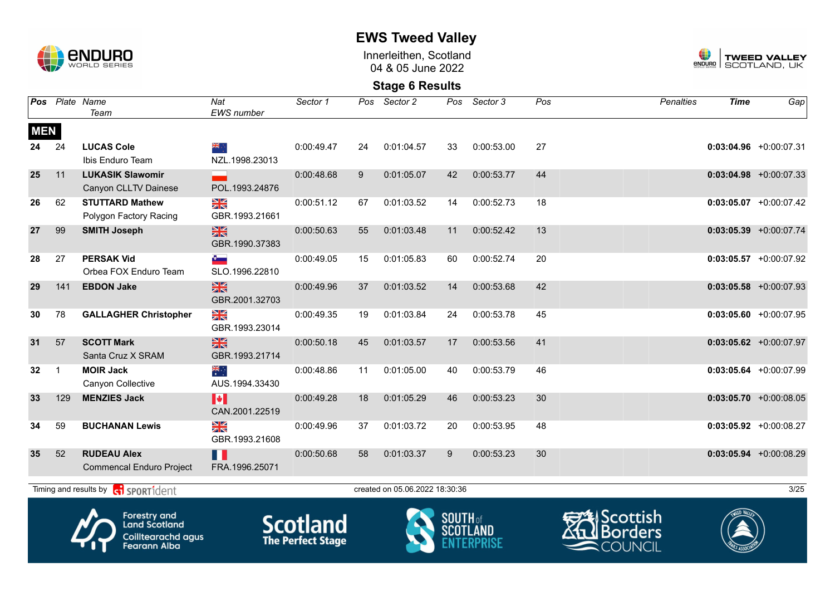

Innerleithen, Scotland 04 & 05 June 2022



**Stage 6 Results**

| Pos             |              | Plate Name<br>Team                                    | Nat<br>EWS number                       | Sector 1   | Pos | Sector 2                       | Pos | Sector 3   | Pos | <b>Penalties</b> | <b>Time</b> | Gap <sup>1</sup>          |
|-----------------|--------------|-------------------------------------------------------|-----------------------------------------|------------|-----|--------------------------------|-----|------------|-----|------------------|-------------|---------------------------|
| <b>MEN</b>      |              |                                                       |                                         |            |     |                                |     |            |     |                  |             |                           |
| 24              | 24           | <b>LUCAS Cole</b><br>Ibis Enduro Team                 | ang ∴<br>NZL.1998.23013                 | 0:00:49.47 | 24  | 0:01:04.57                     | 33  | 0:00:53.00 | 27  |                  |             | $0:03:04.96$ +0:00:07.31  |
| 25              | 11           | <b>LUKASIK Slawomir</b><br>Canyon CLLTV Dainese       | POL.1993.24876                          | 0:00:48.68 | 9   | 0:01:05.07                     | 42  | 0:00:53.77 | 44  |                  |             | $0:03:04.98$ +0:00:07.33  |
| 26              | 62           | <b>STUTTARD Mathew</b><br>Polygon Factory Racing      | NK<br>ZK<br>GBR.1993.21661              | 0:00:51.12 | 67  | 0:01:03.52                     | 14  | 0:00:52.73 | 18  |                  |             | $0:03:05.07$ +0:00:07.42  |
| 27              | 99           | <b>SMITH Joseph</b>                                   | $\frac{N}{N}$<br>GBR.1990.37383         | 0:00:50.63 | 55  | 0:01:03.48                     | 11  | 0:00:52.42 | 13  |                  |             | $0:03:05.39 + 0:00:07.74$ |
| 28              | 27           | <b>PERSAK Vid</b><br>Orbea FOX Enduro Team            | $\bullet$<br>SLO.1996.22810             | 0:00:49.05 | 15  | 0:01:05.83                     | 60  | 0:00:52.74 | 20  |                  |             | $0:03:05.57$ +0:00:07.92  |
| 29              | 141          | <b>EBDON Jake</b>                                     | $\frac{N}{N}$<br>GBR.2001.32703         | 0:00:49.96 | 37  | 0:01:03.52                     | 14  | 0:00:53.68 | 42  |                  |             | $0:03:05.58$ +0:00:07.93  |
| 30              | 78           | <b>GALLAGHER Christopher</b>                          | N<br>X<br>GBR.1993.23014                | 0:00:49.35 | 19  | 0:01:03.84                     | 24  | 0:00:53.78 | 45  |                  |             | $0:03:05.60 + 0:00:07.95$ |
| 31              | 57           | <b>SCOTT Mark</b><br>Santa Cruz X SRAM                | $\frac{N}{N}$<br>GBR.1993.21714         | 0:00:50.18 | 45  | 0:01:03.57                     | 17  | 0:00:53.56 | 41  |                  |             | $0:03:05.62 + 0:00:07.97$ |
| 32 <sub>2</sub> | $\mathbf{1}$ | <b>MOIR Jack</b><br>Canyon Collective                 | ्हें<br>AUS.1994.33430                  | 0:00:48.86 | 11  | 0:01:05.00                     | 40  | 0:00:53.79 | 46  |                  |             | $0:03:05.64$ +0:00:07.99  |
| 33              | 129          | <b>MENZIES Jack</b>                                   | $\blacktriangleright$<br>CAN.2001.22519 | 0:00:49.28 | 18  | 0:01:05.29                     | 46  | 0:00:53.23 | 30  |                  |             | $0:03:05.70$ +0:00:08.05  |
| 34              | 59           | <b>BUCHANAN Lewis</b>                                 | NK<br>2K<br>GBR.1993.21608              | 0:00:49.96 | 37  | 0:01:03.72                     | 20  | 0:00:53.95 | 48  |                  |             | $0:03:05.92 +0:00:08.27$  |
| 35              | 52           | <b>RUDEAU Alex</b><br><b>Commencal Enduro Project</b> | H<br>FRA.1996.25071                     | 0:00:50.68 | 58  | 0:01:03.37                     | 9   | 0:00:53.23 | 30  |                  |             | $0:03:05.94$ +0:00:08.29  |
|                 |              | Timing and results by <b>c</b> i <b>SPORT1</b> dent   |                                         |            |     | created on 05.06.2022 18:30:36 |     |            |     |                  |             | 3/25                      |









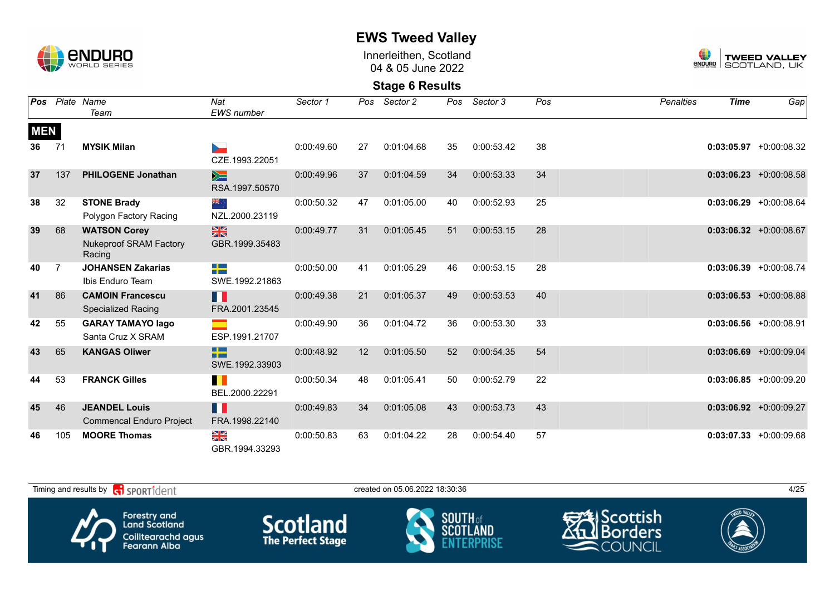

Innerleithen, Scotland 04 & 05 June 2022



| Pos        |                | Plate Name                                                     | Nat                                     | Sector 1   | Pos | Sector 2   | Pos | Sector 3   | Pos | <b>Penalties</b> | <b>Time</b> | Gap                       |
|------------|----------------|----------------------------------------------------------------|-----------------------------------------|------------|-----|------------|-----|------------|-----|------------------|-------------|---------------------------|
|            |                | Team                                                           | EWS number                              |            |     |            |     |            |     |                  |             |                           |
| <b>MEN</b> |                |                                                                |                                         |            |     |            |     |            |     |                  |             |                           |
| 36         | 71             | <b>MYSIK Milan</b>                                             | ►<br>CZE.1993.22051                     | 0:00:49.60 | 27  | 0:01:04.68 | 35  | 0:00:53.42 | 38  |                  |             | $0:03:05.97 + 0:00:08.32$ |
| 37         | 137            | <b>PHILOGENE Jonathan</b>                                      | ⋟≡<br>RSA.1997.50570                    | 0:00:49.96 | 37  | 0:01:04.59 | 34  | 0:00:53.33 | 34  |                  |             | $0:03:06.23 + 0:00:08.58$ |
| 38         | 32             | <b>STONE Brady</b><br>Polygon Factory Racing                   | ैं, ≫<br>NZL.2000.23119                 | 0:00:50.32 | 47  | 0:01:05.00 | 40  | 0:00:52.93 | 25  |                  |             | $0:03:06.29$ +0:00:08.64  |
| 39         | 68             | <b>WATSON Corey</b><br><b>Nukeproof SRAM Factory</b><br>Racing | $\frac{N}{N}$<br>GBR.1999.35483         | 0:00:49.77 | 31  | 0:01:05.45 | 51  | 0:00:53.15 | 28  |                  |             | $0:03:06.32 +0:00:08.67$  |
| 40         | $\overline{7}$ | <b>JOHANSEN Zakarias</b><br>Ibis Enduro Team                   | -12<br>SWE.1992.21863                   | 0:00:50.00 | 41  | 0:01:05.29 | 46  | 0:00:53.15 | 28  |                  |             | $0:03:06.39 + 0:00:08.74$ |
| 41         | 86             | <b>CAMOIN Francescu</b><br><b>Specialized Racing</b>           | H<br>FRA.2001.23545                     | 0:00:49.38 | 21  | 0:01:05.37 | 49  | 0:00:53.53 | 40  |                  |             | $0:03:06.53 + 0:00:08.88$ |
| 42         | 55             | <b>GARAY TAMAYO lago</b><br>Santa Cruz X SRAM                  | ESP.1991.21707                          | 0:00:49.90 | 36  | 0:01:04.72 | 36  | 0:00:53.30 | 33  |                  |             | $0:03:06.56$ +0:00:08.91  |
| 43         | 65             | <b>KANGAS Oliwer</b>                                           | $\Box$<br><b>STEP</b><br>SWE.1992.33903 | 0:00:48.92 | 12  | 0:01:05.50 | 52  | 0:00:54.35 | 54  |                  |             | $0:03:06.69$ +0:00:09.04  |
| 44         | 53             | <b>FRANCK Gilles</b>                                           | ш<br>BEL.2000.22291                     | 0:00:50.34 | 48  | 0:01:05.41 | 50  | 0:00:52.79 | 22  |                  |             | $0:03:06.85 + 0:00:09.20$ |
| 45         | 46             | <b>JEANDEL Louis</b><br><b>Commencal Enduro Project</b>        | H<br>FRA.1998.22140                     | 0:00:49.83 | 34  | 0:01:05.08 | 43  | 0:00:53.73 | 43  |                  |             | $0:03:06.92 +0:00:09.27$  |
| 46         | 105            | <b>MOORE Thomas</b>                                            | ≥k<br>GBR.1994.33293                    | 0:00:50.83 | 63  | 0:01:04.22 | 28  | 0:00:54.40 | 57  |                  |             | $0:03:07.33 + 0:00:09.68$ |

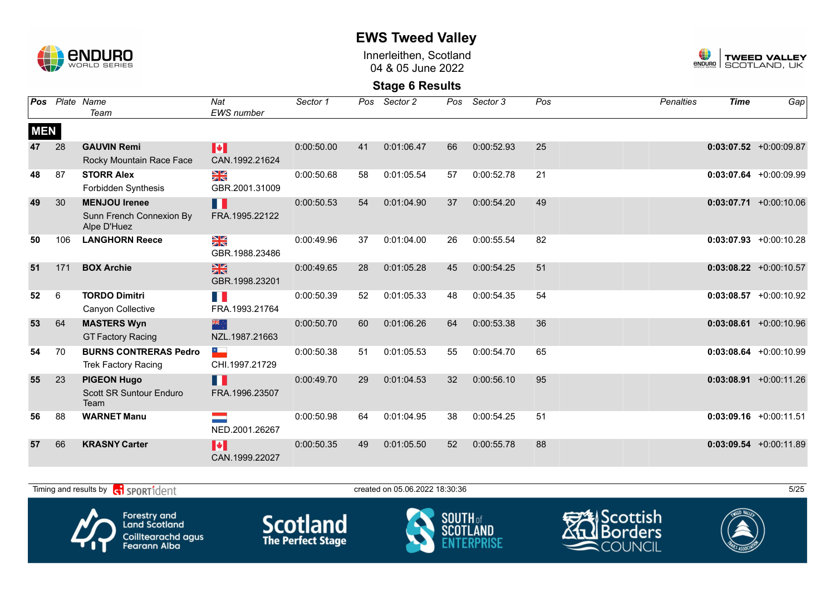

Innerleithen, Scotland 04 & 05 June 2022



**Stage 6 Results**

| Pos        |     | Plate Name<br>Team                                              | Nat<br>EWS number                       | Sector 1   | Pos | Sector 2   | Pos | Sector 3   | Pos | <b>Penalties</b> | <b>Time</b> | Gap                       |
|------------|-----|-----------------------------------------------------------------|-----------------------------------------|------------|-----|------------|-----|------------|-----|------------------|-------------|---------------------------|
| <b>MEN</b> |     |                                                                 |                                         |            |     |            |     |            |     |                  |             |                           |
| 47         | 28  | <b>GAUVIN Remi</b><br>Rocky Mountain Race Face                  | <b>I</b> *<br>CAN.1992.21624            | 0:00:50.00 | 41  | 0:01:06.47 | 66  | 0:00:52.93 | 25  |                  |             | $0:03:07.52$ +0:00:09.87  |
| 48         | 87  | <b>STORR Alex</b><br>Forbidden Synthesis                        | ≫≪<br>GBR.2001.31009                    | 0:00:50.68 | 58  | 0:01:05.54 | 57  | 0:00:52.78 | 21  |                  |             | $0:03:07.64$ +0:00:09.99  |
| 49         | 30  | <b>MENJOU Irenee</b><br>Sunn French Connexion By<br>Alpe D'Huez | H<br>FRA.1995.22122                     | 0:00:50.53 | 54  | 0:01:04.90 | 37  | 0:00:54.20 | 49  |                  |             | $0:03:07.71 + 0:00:10.06$ |
| 50         | 106 | <b>LANGHORN Reece</b>                                           | ¥≼<br>GBR.1988.23486                    | 0:00:49.96 | 37  | 0:01:04.00 | 26  | 0:00:55.54 | 82  |                  |             | $0:03:07.93$ +0:00:10.28  |
| 51         | 171 | <b>BOX Archie</b>                                               | $\frac{N}{N}$<br>GBR.1998.23201         | 0:00:49.65 | 28  | 0:01:05.28 | 45  | 0:00:54.25 | 51  |                  |             | $0:03:08.22 +0:00:10.57$  |
| 52         | 6   | <b>TORDO Dimitri</b><br>Canyon Collective                       | FRA.1993.21764                          | 0:00:50.39 | 52  | 0:01:05.33 | 48  | 0:00:54.35 | 54  |                  |             | $0:03:08.57 +0:00:10.92$  |
| 53         | 64  | <b>MASTERS Wyn</b><br><b>GT Factory Racing</b>                  | 米心<br>NZL.1987.21663                    | 0:00:50.70 | 60  | 0:01:06.26 | 64  | 0:00:53.38 | 36  |                  |             | $0:03:08.61 + 0:00:10.96$ |
| 54         | 70  | <b>BURNS CONTRERAS Pedro</b><br><b>Trek Factory Racing</b>      | CHI.1997.21729                          | 0:00:50.38 | 51  | 0:01:05.53 | 55  | 0:00:54.70 | 65  |                  |             | $0:03:08.64$ +0:00:10.99  |
| 55         | 23  | <b>PIGEON Hugo</b><br>Scott SR Suntour Enduro<br>Team           | H<br>FRA.1996.23507                     | 0:00:49.70 | 29  | 0:01:04.53 | 32  | 0:00:56.10 | 95  |                  |             | $0:03:08.91$ +0:00:11.26  |
| 56         | 88  | <b>WARNET Manu</b>                                              | NED.2001.26267                          | 0:00:50.98 | 64  | 0:01:04.95 | 38  | 0:00:54.25 | 51  |                  |             | $0:03:09.16$ +0:00:11.51  |
| 57         | 66  | <b>KRASNY Carter</b>                                            | $\blacktriangleright$<br>CAN.1999.22027 | 0:00:50.35 | 49  | 0:01:05.50 | 52  | 0:00:55.78 | 88  |                  |             | $0:03:09.54$ +0:00:11.89  |

Timing and results by  $\overline{c_1}$  SPORT1 $\overline{1}$  dentity the state of the created on 05.06.2022 18:30:36 5/25









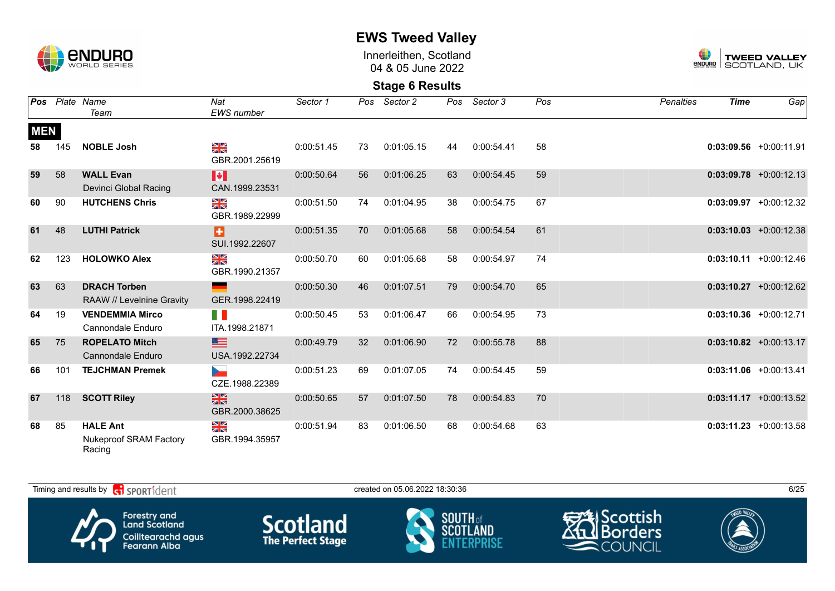

Innerleithen, Scotland 04 & 05 June 2022



| Pos        |     | Plate Name                                                 | Nat                                               | Sector 1   | Pos | Sector 2   |    | Pos Sector 3 | Pos | <b>Penalties</b> | <b>Time</b> | Gap                       |
|------------|-----|------------------------------------------------------------|---------------------------------------------------|------------|-----|------------|----|--------------|-----|------------------|-------------|---------------------------|
|            |     | Team                                                       | <b>EWS</b> number                                 |            |     |            |    |              |     |                  |             |                           |
| <b>MEN</b> |     |                                                            |                                                   |            |     |            |    |              |     |                  |             |                           |
| 58         | 145 | <b>NOBLE Josh</b>                                          | $\frac{\sum x}{\sum x}$<br>GBR.2001.25619         | 0:00:51.45 | 73  | 0:01:05.15 | 44 | 0:00:54.41   | 58  |                  |             | $0:03:09.56$ +0:00:11.91  |
| 59         | 58  | <b>WALL Evan</b><br>Devinci Global Racing                  | H<br>CAN.1999.23531                               | 0:00:50.64 | 56  | 0:01:06.25 | 63 | 0:00:54.45   | 59  |                  |             | $0:03:09.78$ +0:00:12.13  |
| 60         | 90  | <b>HUTCHENS Chris</b>                                      | $\frac{N}{N}$<br>GBR.1989.22999                   | 0:00:51.50 | 74  | 0:01:04.95 | 38 | 0:00:54.75   | 67  |                  |             | $0:03:09.97$ +0:00:12.32  |
| 61         | 48  | <b>LUTHI Patrick</b>                                       | Ð<br>SUI.1992.22607                               | 0:00:51.35 | 70  | 0:01:05.68 | 58 | 0:00:54.54   | 61  |                  |             | $0:03:10.03$ +0:00:12.38  |
| 62         | 123 | <b>HOLOWKO Alex</b>                                        | $\frac{\mathbf{N}}{\mathbf{N}}$<br>GBR.1990.21357 | 0:00:50.70 | 60  | 0:01:05.68 | 58 | 0:00:54.97   | 74  |                  |             | $0:03:10.11 + 0:00:12.46$ |
| 63         | 63  | <b>DRACH Torben</b><br>RAAW // Levelnine Gravity           | GER.1998.22419                                    | 0:00:50.30 | 46  | 0:01:07.51 | 79 | 0:00:54.70   | 65  |                  |             | $0:03:10.27$ +0:00:12.62  |
| 64         | 19  | <b>VENDEMMIA Mirco</b><br>Cannondale Enduro                | H<br>ITA.1998.21871                               | 0:00:50.45 | 53  | 0:01:06.47 | 66 | 0:00:54.95   | 73  |                  |             | $0:03:10.36$ +0:00:12.71  |
| 65         | 75  | <b>ROPELATO Mitch</b><br><b>Cannondale Enduro</b>          | ▆▆<br>USA.1992.22734                              | 0:00:49.79 | 32  | 0:01:06.90 | 72 | 0:00:55.78   | 88  |                  |             | $0:03:10.82 +0:00:13.17$  |
| 66         | 101 | <b>TEJCHMAN Premek</b>                                     | CZE.1988.22389                                    | 0:00:51.23 | 69  | 0:01:07.05 | 74 | 0:00:54.45   | 59  |                  |             | $0:03:11.06$ +0:00:13.41  |
| 67         | 118 | <b>SCOTT Riley</b>                                         | $\frac{N}{N}$<br>GBR.2000.38625                   | 0:00:50.65 | 57  | 0:01:07.50 | 78 | 0:00:54.83   | 70  |                  |             | $0:03:11.17 + 0:00:13.52$ |
| 68         | 85  | <b>HALE Ant</b><br><b>Nukeproof SRAM Factory</b><br>Racing | $\frac{\Delta}{\Delta}$<br>GBR.1994.35957         | 0:00:51.94 | 83  | 0:01:06.50 | 68 | 0:00:54.68   | 63  |                  |             | $0:03:11.23 + 0:00:13.58$ |

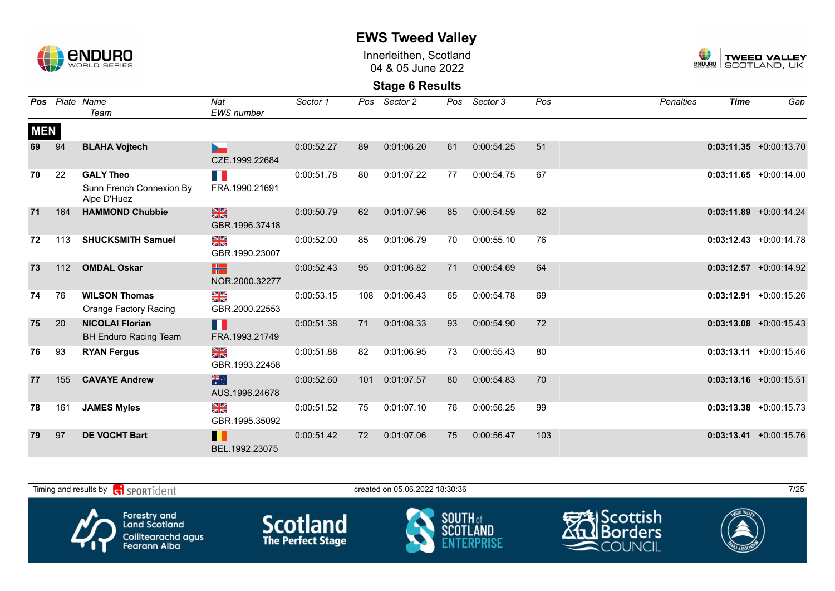

Innerleithen, Scotland 04 & 05 June 2022



|            |     | <b>Pos</b> Plate Name<br>Team                               | Nat<br><b>EWS</b> number          | Sector 1   | Pos | Sector 2   | Pos | Sector 3   | Pos | <b>Penalties</b> | <b>Time</b> | Gap                       |
|------------|-----|-------------------------------------------------------------|-----------------------------------|------------|-----|------------|-----|------------|-----|------------------|-------------|---------------------------|
| <b>MEN</b> |     |                                                             |                                   |            |     |            |     |            |     |                  |             |                           |
| 69         | 94  | <b>BLAHA Vojtech</b>                                        | CZE.1999.22684                    | 0:00:52.27 | 89  | 0:01:06.20 | 61  | 0:00:54.25 | 51  |                  |             | $0:03:11.35 + 0:00:13.70$ |
| 70         | 22  | <b>GALY Theo</b><br>Sunn French Connexion By<br>Alpe D'Huez | T.<br>FRA.1990.21691              | 0:00:51.78 | 80  | 0:01:07.22 | 77  | 0:00:54.75 | 67  |                  |             | $0:03:11.65 + 0:00:14.00$ |
| 71         | 164 | <b>HAMMOND Chubbie</b>                                      | $\frac{28}{25}$<br>GBR.1996.37418 | 0:00:50.79 | 62  | 0:01:07.96 | 85  | 0:00:54.59 | 62  |                  |             | $0:03:11.89$ +0:00:14.24  |
| 72         | 113 | <b>SHUCKSMITH Samuel</b>                                    | ≥k<br>GBR.1990.23007              | 0:00:52.00 | 85  | 0:01:06.79 | 70  | 0:00:55.10 | 76  |                  |             | $0:03:12.43 + 0:00:14.78$ |
| 73         | 112 | <b>OMDAL Oskar</b>                                          | X٣<br>NOR.2000.32277              | 0:00:52.43 | 95  | 0:01:06.82 | 71  | 0:00:54.69 | 64  |                  |             | $0:03:12.57 + 0:00:14.92$ |
| 74         | 76  | <b>WILSON Thomas</b><br>Orange Factory Racing               | ≥k<br>GBR.2000.22553              | 0:00:53.15 | 108 | 0:01:06.43 | 65  | 0:00:54.78 | 69  |                  |             | $0:03:12.91$ +0:00:15.26  |
| 75         | 20  | <b>NICOLAI Florian</b><br><b>BH Enduro Racing Team</b>      | Ш<br>FRA.1993.21749               | 0:00:51.38 | 71  | 0:01:08.33 | 93  | 0:00:54.90 | 72  |                  |             | $0:03:13.08$ +0:00:15.43  |
| 76         | 93  | <b>RYAN Fergus</b>                                          | X<br>X<br>GBR.1993.22458          | 0:00:51.88 | 82  | 0:01:06.95 | 73  | 0:00:55.43 | 80  |                  |             | $0:03:13.11 + 0:00:15.46$ |
| 77         | 155 | <b>CAVAYE Andrew</b>                                        | 業業<br>AUS.1996.24678              | 0:00:52.60 | 101 | 0:01:07.57 | 80  | 0:00:54.83 | 70  |                  |             | $0:03:13.16$ +0:00:15.51  |
| 78         | 161 | <b>JAMES Myles</b>                                          | ≥k<br>GBR.1995.35092              | 0:00:51.52 | 75  | 0:01:07.10 | 76  | 0:00:56.25 | 99  |                  |             | $0:03:13.38$ +0:00:15.73  |
| 79         | 97  | <b>DE VOCHT Bart</b>                                        | ш<br>BEL.1992.23075               | 0:00:51.42 | 72  | 0:01:07.06 | 75  | 0:00:56.47 | 103 |                  |             | $0:03:13.41 + 0:00:15.76$ |

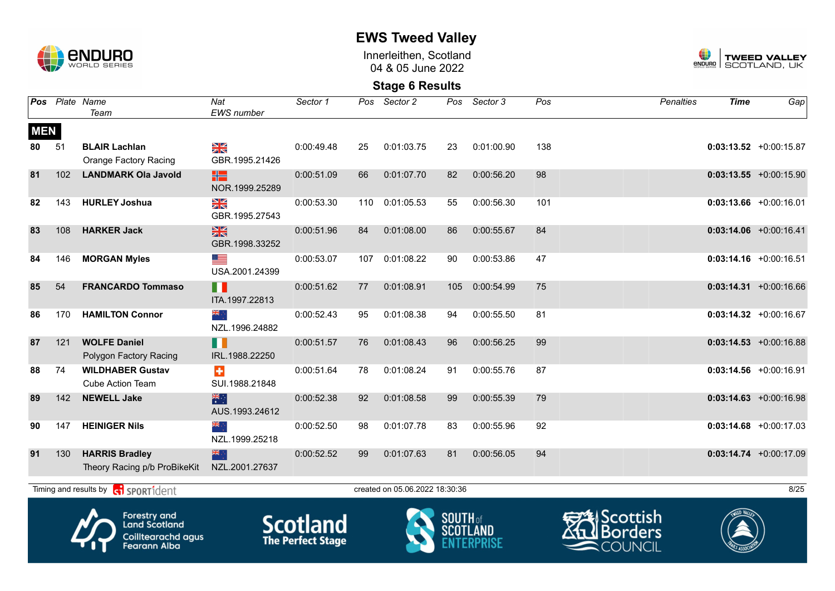

Innerleithen, Scotland 04 & 05 June 2022



**Stage 6 Results**

| Pos        |     | Plate Name<br>Team                                    | Nat<br><b>EWS</b> number                          | Sector 1   | Pos | Sector 2                       | Pos | Sector 3   | Pos | <b>Penalties</b> | <b>Time</b> | Gap                       |
|------------|-----|-------------------------------------------------------|---------------------------------------------------|------------|-----|--------------------------------|-----|------------|-----|------------------|-------------|---------------------------|
| <b>MEN</b> |     |                                                       |                                                   |            |     |                                |     |            |     |                  |             |                           |
| 80         | 51  | <b>BLAIR Lachlan</b><br><b>Orange Factory Racing</b>  | NK<br>ZK<br>GBR.1995.21426                        | 0:00:49.48 | 25  | 0:01:03.75                     | 23  | 0:01:00.90 | 138 |                  |             | $0:03:13.52 +0:00:15.87$  |
| 81         | 102 | <b>LANDMARK Ola Javold</b>                            | HS.<br>NOR.1999.25289                             | 0:00:51.09 | 66  | 0:01:07.70                     | 82  | 0:00:56.20 | 98  |                  |             | $0:03:13.55 + 0:00:15.90$ |
| 82         | 143 | <b>HURLEY Joshua</b>                                  | $\frac{\mathbf{N}}{\mathbf{N}}$<br>GBR.1995.27543 | 0:00:53.30 | 110 | 0:01:05.53                     | 55  | 0:00:56.30 | 101 |                  |             | $0:03:13.66$ +0:00:16.01  |
| 83         | 108 | <b>HARKER Jack</b>                                    | $\frac{N}{N}$<br>GBR.1998.33252                   | 0:00:51.96 | 84  | 0:01:08.00                     | 86  | 0:00:55.67 | 84  |                  |             | $0:03:14.06$ +0:00:16.41  |
| 84         | 146 | <b>MORGAN Myles</b>                                   | ⋐<br>USA.2001.24399                               | 0:00:53.07 | 107 | 0:01:08.22                     | 90  | 0:00:53.86 | 47  |                  |             | $0:03:14.16$ +0:00:16.51  |
| 85         | 54  | <b>FRANCARDO Tommaso</b>                              | n<br>ITA.1997.22813                               | 0:00:51.62 | 77  | 0:01:08.91                     | 105 | 0:00:54.99 | 75  |                  |             | $0:03:14.31 + 0:00:16.66$ |
| 86         | 170 | <b>HAMILTON Connor</b>                                | ैं, ≋<br>NZL.1996.24882                           | 0:00:52.43 | 95  | 0:01:08.38                     | 94  | 0:00:55.50 | 81  |                  |             | $0:03:14.32$ +0:00:16.67  |
| 87         | 121 | <b>WOLFE Daniel</b><br>Polygon Factory Racing         | H<br>IRL.1988.22250                               | 0:00:51.57 | 76  | 0:01:08.43                     | 96  | 0:00:56.25 | 99  |                  |             | $0:03:14.53 + 0:00:16.88$ |
| 88         | 74  | <b>WILDHABER Gustav</b><br><b>Cube Action Team</b>    | $\ddot{}$<br>SUI.1988.21848                       | 0:00:51.64 | 78  | 0:01:08.24                     | 91  | 0:00:55.76 | 87  |                  |             | $0:03:14.56$ +0:00:16.91  |
| 89         | 142 | <b>NEWELL Jake</b>                                    | 米村<br>AUS.1993.24612                              | 0:00:52.38 | 92  | 0:01:08.58                     | 99  | 0:00:55.39 | 79  |                  |             | $0:03:14.63$ +0:00:16.98  |
| 90         | 147 | <b>HEINIGER Nils</b>                                  | ∴ <mark>≫</mark><br>NZL.1999.25218                | 0:00:52.50 | 98  | 0:01:07.78                     | 83  | 0:00:55.96 | 92  |                  |             | $0:03:14.68$ +0:00:17.03  |
| 91         | 130 | <b>HARRIS Bradley</b><br>Theory Racing p/b ProBikeKit | 米亭<br>NZL.2001.27637                              | 0:00:52.52 | 99  | 0:01:07.63                     | 81  | 0:00:56.05 | 94  |                  |             | $0:03:14.74 +0:00:17.09$  |
|            |     | Timing and results by <b>ci</b> SPORT1dent            |                                                   |            |     | created on 05.06.2022 18:30:36 |     |            |     |                  |             | 8/25                      |
|            |     |                                                       |                                                   |            |     |                                |     |            |     |                  |             |                           |









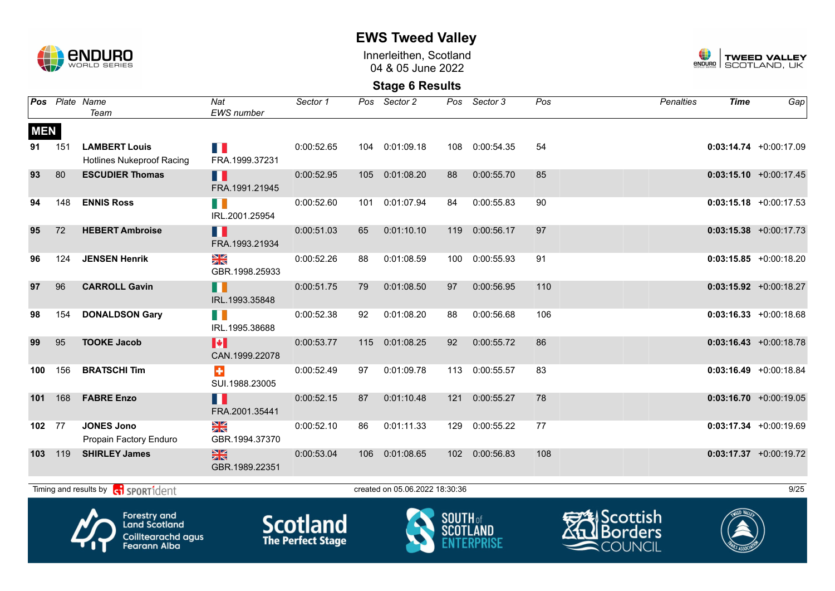

Innerleithen, Scotland 04 & 05 June 2022



**Stage 6 Results**

|                  |     | Pos Plate Name<br>Team                                   | Nat<br>EWS number                  | Sector 1   | Pos | Sector 2                       | Pos              | Sector 3   | Pos | <b>Penalties</b> | <b>Time</b> | Gap                       |
|------------------|-----|----------------------------------------------------------|------------------------------------|------------|-----|--------------------------------|------------------|------------|-----|------------------|-------------|---------------------------|
| <b>MEN</b><br>91 | 151 | <b>LAMBERT Louis</b><br><b>Hotlines Nukeproof Racing</b> | a in<br>FRA.1999.37231             | 0:00:52.65 | 104 | 0:01:09.18                     | 108              | 0:00:54.35 | 54  |                  |             | $0:03:14.74 + 0:00:17.09$ |
| 93               | 80  | <b>ESCUDIER Thomas</b>                                   | H<br>FRA.1991.21945                | 0:00:52.95 | 105 | 0:01:08.20                     | 88               | 0:00:55.70 | 85  |                  |             | $0:03:15.10 + 0:00:17.45$ |
| 94               | 148 | <b>ENNIS Ross</b>                                        | H II<br>IRL.2001.25954             | 0:00:52.60 | 101 | 0:01:07.94                     | 84               | 0:00:55.83 | 90  |                  |             | $0:03:15.18$ +0:00:17.53  |
| 95               | 72  | <b>HEBERT Ambroise</b>                                   | Ш<br>FRA.1993.21934                | 0:00:51.03 | 65  | 0:01:10.10                     | 119              | 0:00:56.17 | 97  |                  |             | $0:03:15.38$ +0:00:17.73  |
| 96               | 124 | <b>JENSEN Henrik</b>                                     | NK<br>ZK<br>GBR.1998.25933         | 0:00:52.26 | 88  | 0:01:08.59                     | 100              | 0:00:55.93 | 91  |                  |             | $0:03:15.85 + 0:00:18.20$ |
| 97               | 96  | <b>CARROLL Gavin</b>                                     | П<br>IRL.1993.35848                | 0:00:51.75 | 79  | 0:01:08.50                     | 97               | 0:00:56.95 | 110 |                  |             | $0:03:15.92$ +0:00:18.27  |
| 98               | 154 | <b>DONALDSON Gary</b>                                    | H II<br>IRL.1995.38688             | 0:00:52.38 | 92  | 0:01:08.20                     | 88               | 0:00:56.68 | 106 |                  |             | $0:03:16.33 + 0:00:18.68$ |
| 99               | 95  | <b>TOOKE Jacob</b>                                       | H<br>CAN.1999.22078                | 0:00:53.77 | 115 | 0:01:08.25                     | 92               | 0:00:55.72 | 86  |                  |             | $0:03:16.43 + 0:00:18.78$ |
| 100              | 156 | <b>BRATSCHI Tim</b>                                      | $\ddot{\bullet}$<br>SUI.1988.23005 | 0:00:52.49 | 97  | 0:01:09.78                     | 113              | 0:00:55.57 | 83  |                  |             | $0:03:16.49 + 0:00:18.84$ |
| 101              | 168 | <b>FABRE Enzo</b>                                        | H<br>FRA.2001.35441                | 0:00:52.15 | 87  | 0:01:10.48                     | 121              | 0:00:55.27 | 78  |                  |             | $0:03:16.70 + 0:00:19.05$ |
| 102              | 77  | <b>JONES Jono</b><br>Propain Factory Enduro              | ≫<br>X<br>GBR.1994.37370           | 0:00:52.10 | 86  | 0:01:11.33                     | 129              | 0:00:55.22 | 77  |                  |             | $0:03:17.34 +0:00:19.69$  |
| 103              | 119 | <b>SHIRLEY James</b>                                     | $\frac{N}{N}$<br>GBR.1989.22351    | 0:00:53.04 | 106 | 0:01:08.65                     | 102 <sub>1</sub> | 0:00:56.83 | 108 |                  |             | $0:03:17.37$ +0:00:19.72  |
|                  |     | Timing and results by <b>contains and results</b>        |                                    |            |     | created on 05.06.2022 18:30:36 |                  |            |     |                  |             | 9/25                      |
|                  |     |                                                          |                                    |            |     |                                |                  |            |     |                  |             |                           |









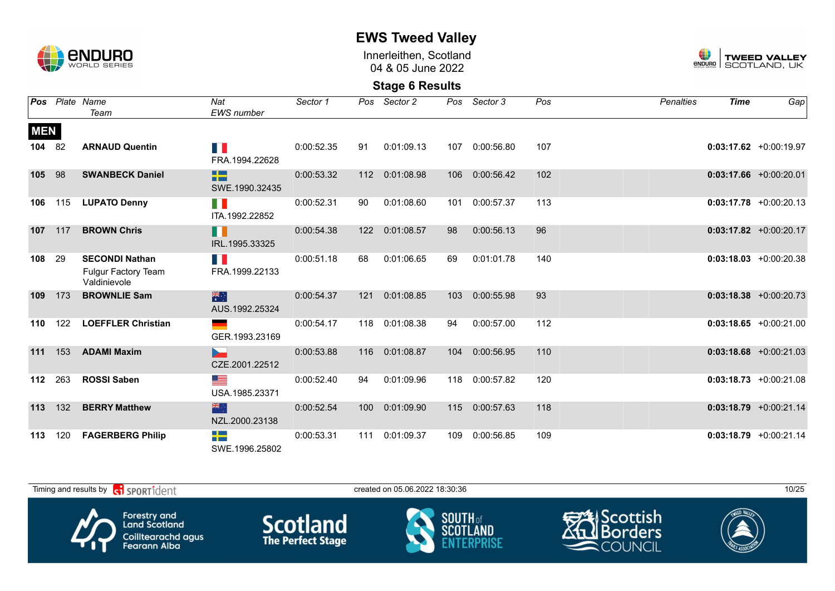

Innerleithen, Scotland 04 & 05 June 2022



| Pos        |     | Plate Name<br>Team                                                  | Nat<br>EWS number                          | Sector 1   | Pos | Sector 2   | Pos | Sector 3   | Pos | <b>Penalties</b> | <b>Time</b> | Gap                       |
|------------|-----|---------------------------------------------------------------------|--------------------------------------------|------------|-----|------------|-----|------------|-----|------------------|-------------|---------------------------|
| <b>MEN</b> |     |                                                                     |                                            |            |     |            |     |            |     |                  |             |                           |
| 104        | 82  | <b>ARNAUD Quentin</b>                                               | H I<br>FRA.1994.22628                      | 0:00:52.35 | 91  | 0:01:09.13 | 107 | 0:00:56.80 | 107 |                  |             | $0:03:17.62 + 0:00:19.97$ |
| 105        | 98  | <b>SWANBECK Daniel</b>                                              | $\Box$<br><b>Bit Bar</b><br>SWE.1990.32435 | 0:00:53.32 | 112 | 0:01:08.98 | 106 | 0:00:56.42 | 102 |                  |             | $0:03:17.66$ +0:00:20.01  |
| 106        | 115 | <b>LUPATO Denny</b>                                                 | n i<br>ITA.1992.22852                      | 0:00:52.31 | 90  | 0:01:08.60 | 101 | 0:00:57.37 | 113 |                  |             | $0:03:17.78$ +0:00:20.13  |
| 107        | 117 | <b>BROWN Chris</b>                                                  | H<br>IRL.1995.33325                        | 0:00:54.38 | 122 | 0:01:08.57 | 98  | 0:00:56.13 | 96  |                  |             | $0:03:17.82 + 0:00:20.17$ |
| 108        | 29  | <b>SECONDI Nathan</b><br><b>Fulgur Factory Team</b><br>Valdinievole | H<br>FRA.1999.22133                        | 0:00:51.18 | 68  | 0:01:06.65 | 69  | 0:01:01.78 | 140 |                  |             | $0:03:18.03 + 0:00:20.38$ |
| 109        | 173 | <b>BROWNLIE Sam</b>                                                 | 米门<br>AUS.1992.25324                       | 0:00:54.37 | 121 | 0:01:08.85 | 103 | 0:00:55.98 | 93  |                  |             | $0:03:18.38$ +0:00:20.73  |
| 110        | 122 | <b>LOEFFLER Christian</b>                                           | GER.1993.23169                             | 0:00:54.17 | 118 | 0:01:08.38 | 94  | 0:00:57.00 | 112 |                  |             | $0:03:18.65 + 0:00:21.00$ |
| 111        | 153 | <b>ADAMI Maxim</b>                                                  | CZE.2001.22512                             | 0:00:53.88 | 116 | 0:01:08.87 | 104 | 0:00:56.95 | 110 |                  |             | $0:03:18.68$ +0:00:21.03  |
| 112        | 263 | <b>ROSSI Saben</b>                                                  | ▀<br>USA.1985.23371                        | 0:00:52.40 | 94  | 0:01:09.96 | 118 | 0:00:57.82 | 120 |                  |             | $0:03:18.73 + 0:00:21.08$ |
| 113        | 132 | <b>BERRY Matthew</b>                                                | 器的<br>NZL.2000.23138                       | 0:00:52.54 | 100 | 0:01:09.90 | 115 | 0:00:57.63 | 118 |                  |             | $0:03:18.79$ +0:00:21.14  |
| 113        | 120 | <b>FAGERBERG Philip</b>                                             | -13<br>SWE.1996.25802                      | 0:00:53.31 | 111 | 0:01:09.37 | 109 | 0:00:56.85 | 109 |                  |             | $0:03:18.79$ +0:00:21.14  |

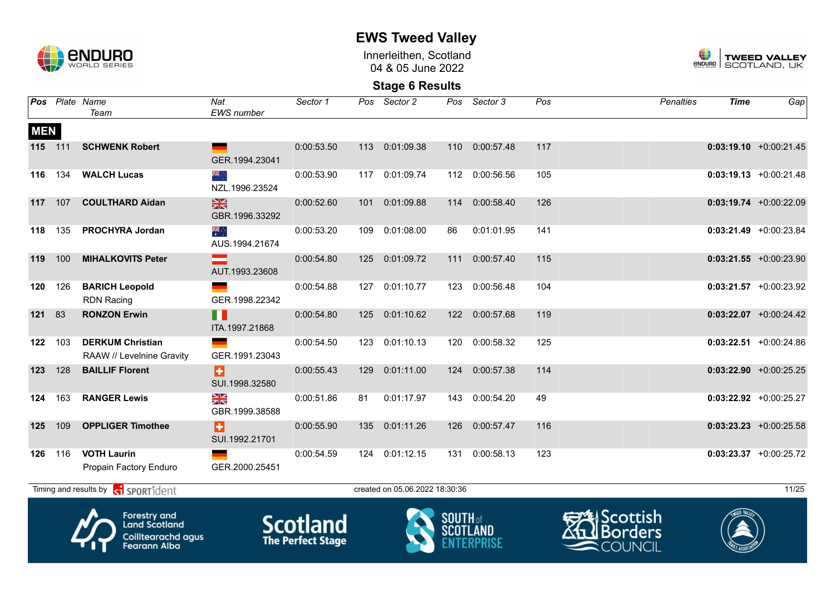

Innerleithen, Scotland 04 & 05 June 2022



|            |     | Pos Plate Name<br>Team                                                                   | Nat<br><b>EWS</b> number               | Sector 1                                    |     | Pos Sector 2                   | Pos             | Sector 3       | Pos | <b>Penalties</b>                          | <b>Time</b> | Gap                       |
|------------|-----|------------------------------------------------------------------------------------------|----------------------------------------|---------------------------------------------|-----|--------------------------------|-----------------|----------------|-----|-------------------------------------------|-------------|---------------------------|
| <b>MEN</b> |     |                                                                                          |                                        |                                             |     |                                |                 |                |     |                                           |             |                           |
| 115 111    |     | <b>SCHWENK Robert</b>                                                                    | GER.1994.23041                         | 0:00:53.50                                  | 113 | 0:01:09.38                     | 110             | 0:00:57.48     | 117 |                                           |             | $0:03:19.10 + 0:00:21.45$ |
| 116        | 134 | <b>WALCH Lucas</b>                                                                       | ≫⊯<br>NZL.1996.23524                   | 0:00:53.90                                  |     | 117 0:01:09.74                 |                 | 112 0:00:56.56 | 105 |                                           |             | $0:03:19.13 + 0:00:21.48$ |
| 117        | 107 | <b>COULTHARD Aidan</b>                                                                   | $\frac{N}{N}$<br>GBR.1996.33292        | 0:00:52.60                                  | 101 | 0:01:09.88                     | 114             | 0:00:58.40     | 126 |                                           |             | $0:03:19.74$ +0:00:22.09  |
| 118        | 135 | <b>PROCHYRA Jordan</b>                                                                   | $\frac{1}{\sqrt{2}}$<br>AUS.1994.21674 | 0:00:53.20                                  | 109 | 0:01:08.00                     | 86              | 0:01:01.95     | 141 |                                           |             | $0:03:21.49$ +0:00:23.84  |
| 119        | 100 | <b>MIHALKOVITS Peter</b>                                                                 | AUT.1993.23608                         | 0:00:54.80                                  | 125 | 0:01:09.72                     | 111             | 0:00:57.40     | 115 |                                           |             | $0:03:21.55$ +0:00:23.90  |
| 120        | 126 | <b>BARICH Leopold</b><br><b>RDN Racing</b>                                               | GER.1998.22342                         | 0:00:54.88                                  | 127 | 0:01:10.77                     | 123             | 0:00:56.48     | 104 |                                           |             | $0:03:21.57 +0:00:23.92$  |
| 121        | 83  | <b>RONZON Erwin</b>                                                                      | n<br>ITA.1997.21868                    | 0:00:54.80                                  | 125 | 0:01:10.62                     | 122             | 0:00:57.68     | 119 |                                           |             | $0:03:22.07$ +0:00:24.42  |
| 122        | 103 | <b>DERKUM Christian</b><br>RAAW // Levelnine Gravity                                     | GER.1991.23043                         | 0:00:54.50                                  | 123 | 0:01:10.13                     | 120             | 0:00:58.32     | 125 |                                           |             | $0:03:22.51$ +0:00:24.86  |
| 123        | 128 | <b>BAILLIF Florent</b>                                                                   | H<br>SUI.1998.32580                    | 0:00:55.43                                  | 129 | 0:01:11.00                     | 124             | 0:00:57.38     | 114 |                                           |             | $0:03:22.90$ +0:00:25.25  |
| 124        | 163 | <b>RANGER Lewis</b>                                                                      | X<br>GBR.1999.38588                    | 0:00:51.86                                  | 81  | 0:01:17.97                     | 143             | 0:00:54.20     | 49  |                                           |             | $0:03:22.92$ +0:00:25.27  |
| 125        | 109 | <b>OPPLIGER Timothee</b>                                                                 | Ы<br>SUI.1992.21701                    | 0:00:55.90                                  | 135 | 0:01:11.26                     | 126             | 0:00:57.47     | 116 |                                           |             | $0:03:23.23$ +0:00:25.58  |
| 126        | 116 | <b>VOTH Laurin</b><br>Propain Factory Enduro                                             | GER.2000.25451                         | 0:00:54.59                                  | 124 | 0:01:12.15                     | 131             | 0:00:58.13     | 123 |                                           |             | $0:03:23.37 +0:00:25.72$  |
|            |     | Timing and results by contract SPORT1dent                                                |                                        |                                             |     | created on 05.06.2022 18:30:36 |                 |                |     |                                           |             | 11/25                     |
|            |     | Forestry and<br><b>Land Scotland</b><br><b>Coilltearachd agus</b><br><b>Fearann Alba</b> |                                        | <b>Scotland</b><br><b>The Perfect Stage</b> |     |                                | <b>SOUTH</b> of |                |     | ヂしScottish<br>  Borders<br><b>COUNCII</b> |             |                           |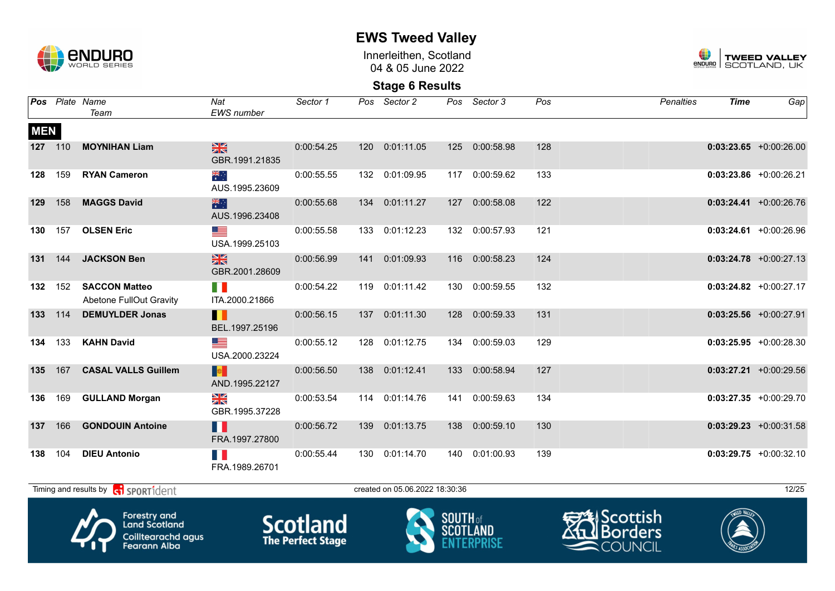

Innerleithen, Scotland 04 & 05 June 2022



|            |         | Pos Plate Name<br>Team                                                            | Nat<br><b>EWS</b> number        | Sector 1                                    | Pos | Sector 2                       | Pos                                | Sector 3       | Pos | <b>Penalties</b>                           | <b>Time</b> | Gap                       |
|------------|---------|-----------------------------------------------------------------------------------|---------------------------------|---------------------------------------------|-----|--------------------------------|------------------------------------|----------------|-----|--------------------------------------------|-------------|---------------------------|
| <b>MEN</b> |         |                                                                                   |                                 |                                             |     |                                |                                    |                |     |                                            |             |                           |
|            | 127 110 | <b>MOYNIHAN Liam</b>                                                              | $\frac{N}{N}$<br>GBR.1991.21835 | 0:00:54.25                                  |     | 120 0:01:11.05                 | 125                                | 0:00:58.98     | 128 |                                            |             | $0:03:23.65 + 0:00:26.00$ |
| 128        | 159     | <b>RYAN Cameron</b>                                                               | ैं<br>AUS.1995.23609            | 0:00:55.55                                  |     | 132 0:01:09.95                 |                                    | 117 0:00:59.62 | 133 |                                            |             | $0:03:23.86$ +0:00:26.21  |
| 129        | 158     | <b>MAGGS David</b>                                                                | 米<br>AUS.1996.23408             | 0:00:55.68                                  |     | 134 0:01:11.27                 | 127                                | 0:00:58.08     | 122 |                                            |             | $0:03:24.41 + 0:00:26.76$ |
| 130        | 157     | <b>OLSEN Eric</b>                                                                 | <u>e a</u><br>USA.1999.25103    | 0:00:55.58                                  | 133 | 0:01:12.23                     | 132                                | 0:00:57.93     | 121 |                                            |             | $0:03:24.61$ +0:00:26.96  |
| 131        | 144     | <b>JACKSON Ben</b>                                                                | $\frac{1}{2}$<br>GBR.2001.28609 | 0:00:56.99                                  |     | 141 0:01:09.93                 | 116                                | 0:00:58.23     | 124 |                                            |             | $0:03:24.78$ +0:00:27.13  |
|            | 132 152 | <b>SACCON Matteo</b><br>Abetone FullOut Gravity                                   | n n<br>ITA.2000.21866           | 0:00:54.22                                  |     | 119 0:01:11.42                 | 130                                | 0:00:59.55     | 132 |                                            |             | $0:03:24.82$ +0:00:27.17  |
| 133        | 114     | <b>DEMUYLDER Jonas</b>                                                            | Ш<br>BEL.1997.25196             | 0:00:56.15                                  |     | 137 0:01:11.30                 | 128                                | 0:00:59.33     | 131 |                                            |             | $0:03:25.56$ +0:00:27.91  |
|            | 134 133 | <b>KAHN David</b>                                                                 | <u>a a</u><br>USA.2000.23224    | 0:00:55.12                                  |     | 128 0:01:12.75                 |                                    | 134 0:00:59.03 | 129 |                                            |             | $0:03:25.95$ +0:00:28.30  |
| 135        | 167     | <b>CASAL VALLS Guillem</b>                                                        | <b>De</b><br>AND.1995.22127     | 0:00:56.50                                  |     | 138 0:01:12.41                 | 133                                | 0:00:58.94     | 127 |                                            |             | $0:03:27.21$ +0:00:29.56  |
| 136        | 169     | <b>GULLAND Morgan</b>                                                             | N<br>A<br>X<br>GBR.1995.37228   | 0:00:53.54                                  | 114 | 0:01:14.76                     | 141                                | 0:00:59.63     | 134 |                                            |             | $0:03:27.35 +0:00:29.70$  |
| 137        | 166     | <b>GONDOUIN Antoine</b>                                                           | H<br>FRA.1997.27800             | 0:00:56.72                                  | 139 | 0:01:13.75                     | 138                                | 0:00:59.10     | 130 |                                            |             | $0:03:29.23 +0:00:31.58$  |
| 138        | 104     | <b>DIEU Antonio</b>                                                               | FRA.1989.26701                  | 0:00:55.44                                  |     | 130 0:01:14.70                 |                                    | 140 0:01:00.93 | 139 |                                            |             | $0:03:29.75 +0:00:32.10$  |
|            |         | Timing and results by contract of the SPORT1 dent                                 |                                 |                                             |     | created on 05.06.2022 18:30:36 |                                    |                |     |                                            |             | 12/25                     |
|            |         | Forestry and<br><b>Land Scotland</b><br>Coilltearachd agus<br><b>Fearann Alba</b> |                                 | <b>Scotland</b><br><b>The Perfect Stage</b> |     |                                | <b>SOUTH of</b><br><b>SCOTLAND</b> |                |     | scottish≱ا<br><u>ll</u> Borders<br>COUNCIL |             |                           |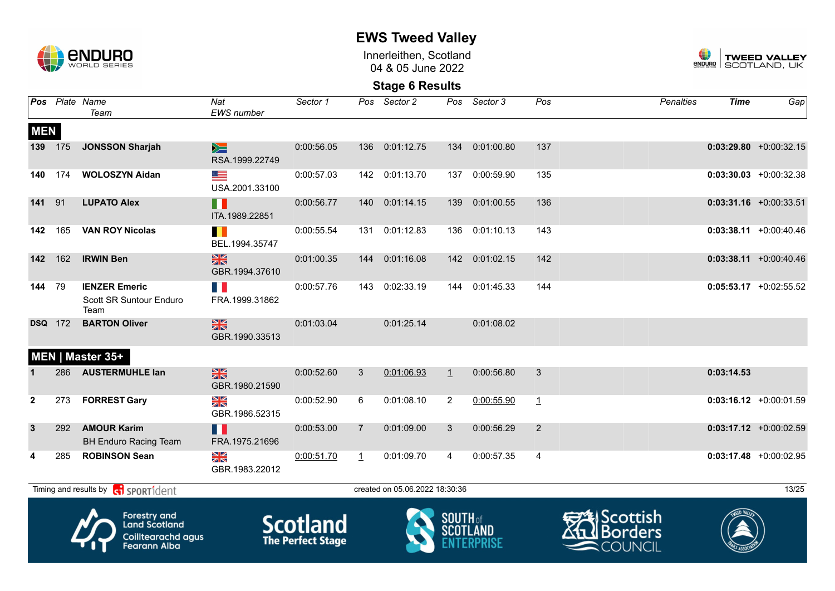

Innerleithen, Scotland 04 & 05 June 2022



|              |                                                                                                                           | Pos Plate Name<br>Team                                  | Nat<br><b>EWS</b> number        | Sector 1   |                | Pos Sector 2                   | Pos             | Sector 3       | Pos            | <b>Penalties</b>                                           | <b>Time</b> | Gap                       |
|--------------|---------------------------------------------------------------------------------------------------------------------------|---------------------------------------------------------|---------------------------------|------------|----------------|--------------------------------|-----------------|----------------|----------------|------------------------------------------------------------|-------------|---------------------------|
| <b>MEN</b>   |                                                                                                                           |                                                         |                                 |            |                |                                |                 |                |                |                                                            |             |                           |
|              | 139 175                                                                                                                   | <b>JONSSON Sharjah</b>                                  | $\geq$<br>RSA.1999.22749        | 0:00:56.05 |                | 136 0:01:12.75                 | 134             | 0:01:00.80     | 137            |                                                            |             | $0:03:29.80 +0:00:32.15$  |
| 140          | 174                                                                                                                       | <b>WOLOSZYN Aidan</b>                                   | <u>est</u><br>USA.2001.33100    | 0:00:57.03 |                | 142 0:01:13.70                 |                 | 137 0:00:59.90 | 135            |                                                            |             | $0:03:30.03$ +0:00:32.38  |
| 141          | 91                                                                                                                        | <b>LUPATO Alex</b>                                      | H<br>ITA.1989.22851             | 0:00:56.77 |                | 140 0:01:14.15                 | 139             | 0:01:00.55     | 136            |                                                            |             | $0:03:31.16$ +0:00:33.51  |
| 142          | 165                                                                                                                       | <b>VAN ROY Nicolas</b>                                  | BEL.1994.35747                  | 0:00:55.54 |                | 131 0:01:12.83                 |                 | 136 0:01:10.13 | 143            |                                                            |             | $0:03:38.11 + 0:00:40.46$ |
| 142          | 162                                                                                                                       | <b>IRWIN Ben</b>                                        | $\frac{N}{N}$<br>GBR.1994.37610 | 0:01:00.35 | 144            | 0:01:16.08                     | 142             | 0:01:02.15     | 142            |                                                            |             | $0:03:38.11 + 0:00:40.46$ |
| 144          | 79                                                                                                                        | <b>IENZER Emeric</b><br>Scott SR Suntour Enduro<br>Team | FRA.1999.31862                  | 0:00:57.76 | 143            | 0:02:33.19                     | 144             | 0:01:45.33     | 144            |                                                            |             | $0:05:53.17$ +0:02:55.52  |
|              | <b>DSQ</b> 172                                                                                                            | <b>BARTON Oliver</b>                                    | $\frac{N}{N}$<br>GBR.1990.33513 | 0:01:03.04 |                | 0:01:25.14                     |                 | 0:01:08.02     |                |                                                            |             |                           |
|              |                                                                                                                           | MEN   Master 35+                                        |                                 |            |                |                                |                 |                |                |                                                            |             |                           |
|              |                                                                                                                           | 286 AUSTERMUHLE lan                                     | $\frac{N}{N}$<br>GBR.1980.21590 | 0:00:52.60 | 3              | 0:01:06.93                     | $\perp$         | 0:00:56.80     | 3              |                                                            | 0:03:14.53  |                           |
| $\mathbf{2}$ | 273                                                                                                                       | <b>FORREST Gary</b>                                     | ≥K<br>GBR.1986.52315            | 0:00:52.90 | 6              | 0:01:08.10                     | $\overline{2}$  | 0:00:55.90     | $\mathbf{1}$   |                                                            |             | $0:03:16.12 +0:00:01.59$  |
| 3            | 292                                                                                                                       | <b>AMOUR Karim</b><br><b>BH Enduro Racing Team</b>      | H<br>FRA.1975.21696             | 0:00:53.00 | $\overline{7}$ | 0:01:09.00                     | 3               | 0:00:56.29     | $\overline{2}$ |                                                            |             | $0:03:17.12$ +0:00:02.59  |
| 4            | 285                                                                                                                       | <b>ROBINSON Sean</b>                                    | XK<br>GBR.1983.22012            | 0:00:51.70 | $\perp$        | 0:01:09.70                     | $\overline{4}$  | 0:00:57.35     | $\overline{4}$ |                                                            |             | $0:03:17.48$ +0:00:02.95  |
|              |                                                                                                                           | Timing and results by conservation                      |                                 |            |                | created on 05.06.2022 18:30:36 |                 |                |                |                                                            |             | 13/25                     |
|              | <b>Forestry and</b><br><b>Scotland</b><br><b>Land Scotland</b><br>Coilltearachd agus<br>The Perfect Stage<br>Fearann Alba |                                                         |                                 |            |                |                                | <b>SOUTH</b> of |                |                | <b>2</b> Scottish<br><b>Borders</b><br>COL<br><b>JNCIL</b> |             |                           |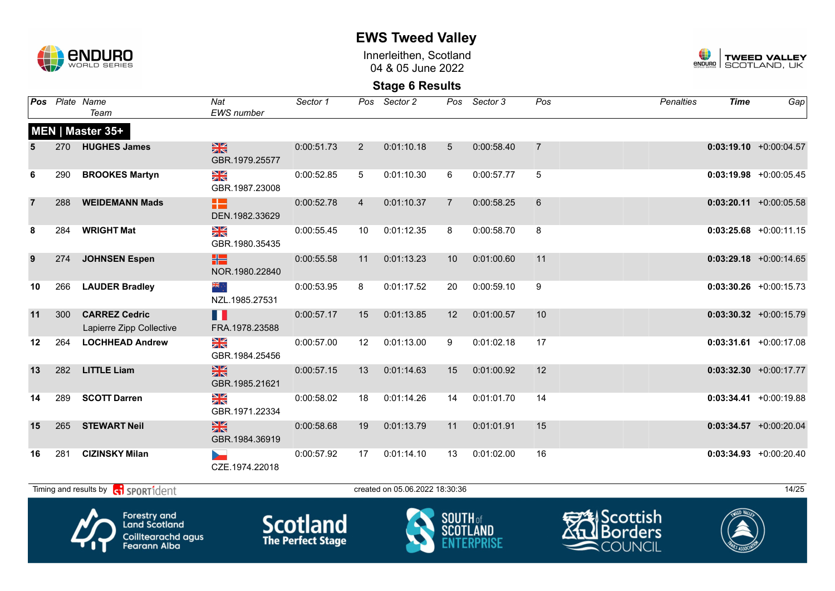

**EWS Tweed Valley**

Innerleithen, Scotland 04 & 05 June 2022



| <b>Pos</b>     |     | Plate Name<br>Team                                                                | Nat<br><b>EWS</b> number                      | Sector 1                                    | Pos            | Sector 2                       | Pos             | Sector 3        | Pos            | <b>Penalties</b>                                                            | <b>Time</b> | Gap                       |
|----------------|-----|-----------------------------------------------------------------------------------|-----------------------------------------------|---------------------------------------------|----------------|--------------------------------|-----------------|-----------------|----------------|-----------------------------------------------------------------------------|-------------|---------------------------|
|                |     | MEN   Master 35+                                                                  |                                               |                                             |                |                                |                 |                 |                |                                                                             |             |                           |
|                | 270 | <b>HUGHES James</b>                                                               | $\frac{N}{N}$<br>GBR.1979.25577               | 0:00:51.73                                  | $\overline{2}$ | 0:01:10.18                     | 5               | 0:00:58.40      | $\overline{7}$ |                                                                             |             | $0:03:19.10$ +0:00:04.57  |
| 6              | 290 | <b>BROOKES Martyn</b>                                                             | $\frac{N}{N}$<br>GBR.1987.23008               | 0:00:52.85                                  | 5              | 0:01:10.30                     | 6               | 0:00:57.77      | 5              |                                                                             |             | $0:03:19.98$ +0:00:05.45  |
| $\overline{7}$ | 288 | <b>WEIDEMANN Mads</b>                                                             | æ<br>DEN.1982.33629                           | 0:00:52.78                                  | $\overline{4}$ | 0:01:10.37                     | $\overline{7}$  | 0:00:58.25      | $\,6$          |                                                                             |             | $0:03:20.11 + 0:00:05.58$ |
| 8              | 284 | <b>WRIGHT Mat</b>                                                                 | $\frac{N}{N}$<br>GBR.1980.35435               | 0:00:55.45                                  | 10             | 0:01:12.35                     | 8               | 0:00:58.70      | 8              |                                                                             |             | $0:03:25.68 + 0:00:11.15$ |
| 9              | 274 | <b>JOHNSEN Espen</b>                                                              | HS<br>NOR.1980.22840                          | 0:00:55.58                                  | 11             | 0:01:13.23                     | 10              | 0:01:00.60      | 11             |                                                                             |             | $0:03:29.18$ +0:00:14.65  |
| 10             | 266 | <b>LAUDER Bradley</b>                                                             | NZL.1985.27531                                | 0:00:53.95                                  | 8              | 0:01:17.52                     | 20              | 0:00:59.10      | 9              |                                                                             |             | $0:03:30.26 + 0:00:15.73$ |
| 11             | 300 | <b>CARREZ Cedric</b><br>Lapierre Zipp Collective                                  | Ш<br>FRA.1978.23588                           | 0:00:57.17                                  | 15             | 0:01:13.85                     | 12 <sup>2</sup> | 0:01:00.57      | 10             |                                                                             |             | $0:03:30.32 +0:00:15.79$  |
| 12             | 264 | <b>LOCHHEAD Andrew</b>                                                            | $\frac{N}{N}$<br>GBR.1984.25456               | 0:00:57.00                                  | 12             | 0:01:13.00                     | 9               | 0:01:02.18      | 17             |                                                                             |             | $0:03:31.61$ +0:00:17.08  |
| 13             | 282 | <b>LITTLE Liam</b>                                                                | $\frac{\text{N}}{\text{N}}$<br>GBR.1985.21621 | 0:00:57.15                                  | 13             | 0:01:14.63                     | 15              | 0:01:00.92      | 12             |                                                                             |             | $0:03:32.30$ +0:00:17.77  |
| 14             | 289 | <b>SCOTT Darren</b>                                                               | X<br>GBR.1971.22334                           | 0:00:58.02                                  | 18             | 0:01:14.26                     | 14              | 0:01:01.70      | 14             |                                                                             |             | $0:03:34.41 + 0:00:19.88$ |
| 15             | 265 | <b>STEWART Neil</b>                                                               | X<br>GBR.1984.36919                           | 0:00:58.68                                  | 19             | 0:01:13.79                     | 11              | 0:01:01.91      | 15             |                                                                             |             | $0:03:34.57 +0:00:20.04$  |
| 16             | 281 | <b>CIZINSKY Milan</b>                                                             | CZE.1974.22018                                | 0:00:57.92                                  | 17             | 0:01:14.10                     | 13              | 0:01:02.00      | 16             |                                                                             |             | $0:03:34.93$ +0:00:20.40  |
|                |     | Timing and results by ci SPORT1dent                                               |                                               |                                             |                | created on 05.06.2022 18:30:36 |                 |                 |                |                                                                             |             | 14/25                     |
|                |     | Forestry and<br><b>Land Scotland</b><br>Coilltearachd agus<br><b>Fearann Alba</b> |                                               | <b>Scotland</b><br><b>The Perfect Stage</b> |                |                                | <b>SOUTH</b> of | <b>SCOTLAND</b> |                | <del>SA</del> lScottish<br><b>I</b> Borders<br>11<br>$\blacksquare$ COUNCIL |             |                           |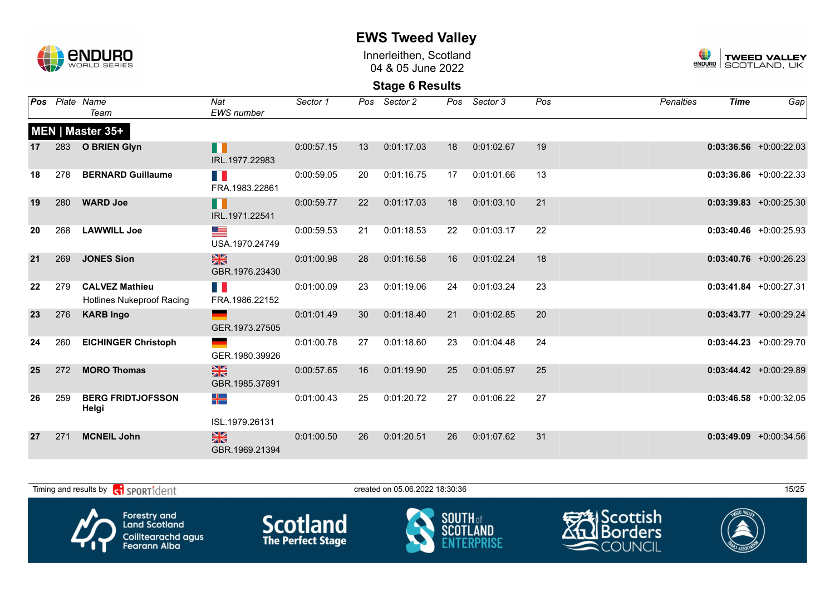

Innerleithen, Scotland 04 & 05 June 2022



|    |     | Pos Plate Name<br>Team                                    | Nat<br><b>EWS</b> number        | Sector 1   |    | Pos Sector 2 |    | Pos Sector 3 | Pos | <b>Penalties</b> | <b>Time</b> | Gap                        |
|----|-----|-----------------------------------------------------------|---------------------------------|------------|----|--------------|----|--------------|-----|------------------|-------------|----------------------------|
|    |     | MEN   Master 35+                                          |                                 |            |    |              |    |              |     |                  |             |                            |
| 17 | 283 | <b>O BRIEN Glyn</b>                                       | n<br>IRL.1977.22983             | 0:00:57.15 | 13 | 0:01:17.03   | 18 | 0:01:02.67   | 19  |                  |             | $0:03:36.56$ +0:00:22.03   |
| 18 | 278 | <b>BERNARD Guillaume</b>                                  | T.<br>FRA.1983.22861            | 0:00:59.05 | 20 | 0:01:16.75   | 17 | 0:01:01.66   | 13  |                  |             | $0:03:36.86 + 0:00:22.33$  |
| 19 | 280 | <b>WARD Joe</b>                                           | H<br>IRL.1971.22541             | 0:00:59.77 | 22 | 0:01:17.03   | 18 | 0:01:03.10   | 21  |                  |             | $0:03:39.83 + 0:00:25.30$  |
| 20 | 268 | <b>LAWWILL Joe</b>                                        | <u>est</u><br>USA.1970.24749    | 0:00:59.53 | 21 | 0:01:18.53   | 22 | 0:01:03.17   | 22  |                  |             | $0:03:40.46$ +0:00:25.93   |
| 21 | 269 | <b>JONES Sion</b>                                         | $\frac{N}{N}$<br>GBR.1976.23430 | 0:01:00.98 | 28 | 0:01:16.58   | 16 | 0:01:02.24   | 18  |                  |             | $0:03:40.76$ +0:00:26.23   |
| 22 | 279 | <b>CALVEZ Mathieu</b><br><b>Hotlines Nukeproof Racing</b> | FRA.1986.22152                  | 0:01:00.09 | 23 | 0:01:19.06   | 24 | 0:01:03.24   | 23  |                  |             | $0:03:41.84 + 0:00:27.31$  |
| 23 | 276 | <b>KARB Ingo</b>                                          | GER.1973.27505                  | 0:01:01.49 | 30 | 0:01:18.40   | 21 | 0:01:02.85   | 20  |                  |             | $0:03:43.77$ +0:00:29.24   |
| 24 | 260 | <b>EICHINGER Christoph</b>                                | GER.1980.39926                  | 0:01:00.78 | 27 | 0:01:18.60   | 23 | 0:01:04.48   | 24  |                  |             | $0:03:44.23 + 0:00:29.70$  |
| 25 | 272 | <b>MORO Thomas</b>                                        | $\frac{N}{N}$<br>GBR.1985.37891 | 0:00:57.65 | 16 | 0:01:19.90   | 25 | 0:01:05.97   | 25  |                  |             | $0:03:44.42 + 0:00:29.89$  |
| 26 | 259 | <b>BERG FRIDTJOFSSON</b><br>Helgi                         | ╉═<br>ISL.1979.26131            | 0:01:00.43 | 25 | 0:01:20.72   | 27 | 0:01:06.22   | 27  |                  |             | $0:03:46.58$ +0:00:32.05   |
| 27 | 271 | <b>MCNEIL John</b>                                        | $\frac{N}{N}$<br>GBR.1969.21394 | 0:01:00.50 | 26 | 0:01:20.51   | 26 | 0:01:07.62   | 31  |                  |             | $0:03:49.09$ $+0:00:34.56$ |

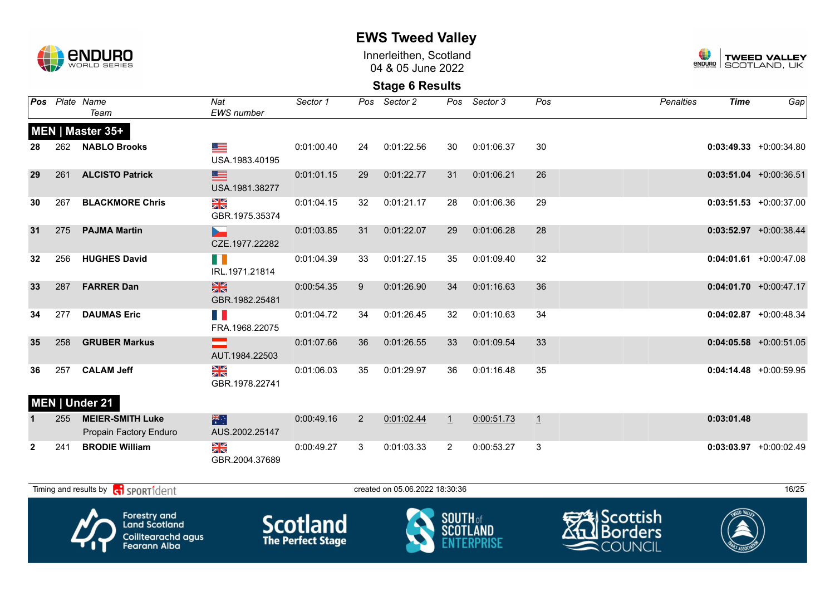

Innerleithen, Scotland 04 & 05 June 2022



**Stage 6 Results**

|                 |     | Pos Plate Name<br>Team              | Nat<br><b>EWS</b> number        | Sector 1   |                | Pos Sector 2                   |         | Pos Sector 3 | Pos     | <b>Penalties</b> | <b>Time</b> | Gap                       |
|-----------------|-----|-------------------------------------|---------------------------------|------------|----------------|--------------------------------|---------|--------------|---------|------------------|-------------|---------------------------|
|                 |     | MEN   Master 35+                    |                                 |            |                |                                |         |              |         |                  |             |                           |
| 28              |     | 262 NABLO Brooks                    | <u>est</u><br>USA.1983.40195    | 0:01:00.40 | 24             | 0:01:22.56                     | 30      | 0:01:06.37   | 30      |                  |             | $0:03:49.33 + 0:00:34.80$ |
| 29              | 261 | <b>ALCISTO Patrick</b>              | ▇<br>USA.1981.38277             | 0:01:01.15 | 29             | 0:01:22.77                     | 31      | 0:01:06.21   | 26      |                  |             | $0:03:51.04$ +0:00:36.51  |
| 30              | 267 | <b>BLACKMORE Chris</b>              | ≥k<br>GBR.1975.35374            | 0:01:04.15 | 32             | 0:01:21.17                     | 28      | 0:01:06.36   | 29      |                  |             | $0:03:51.53 + 0:00:37.00$ |
| 31              | 275 | <b>PAJMA Martin</b>                 | CZE.1977.22282                  | 0:01:03.85 | 31             | 0:01:22.07                     | 29      | 0:01:06.28   | 28      |                  |             | $0:03:52.97$ +0:00:38.44  |
| 32 <sub>2</sub> | 256 | <b>HUGHES David</b>                 | H II<br>IRL.1971.21814          | 0:01:04.39 | 33             | 0:01:27.15                     | 35      | 0:01:09.40   | 32      |                  |             | $0:04:01.61$ +0:00:47.08  |
| 33              | 287 | <b>FARRER Dan</b>                   | $\frac{N}{N}$<br>GBR.1982.25481 | 0:00:54.35 | 9              | 0:01:26.90                     | 34      | 0:01:16.63   | 36      |                  |             | $0:04:01.70 + 0:00:47.17$ |
| 34              | 277 | <b>DAUMAS Eric</b>                  | FRA.1968.22075                  | 0:01:04.72 | 34             | 0:01:26.45                     | 32      | 0:01:10.63   | 34      |                  |             | $0:04:02.87$ +0:00:48.34  |
| 35              | 258 | <b>GRUBER Markus</b>                | AUT.1984.22503                  | 0:01:07.66 | 36             | 0:01:26.55                     | 33      | 0:01:09.54   | 33      |                  |             | $0:04:05.58$ +0:00:51.05  |
| 36              | 257 | <b>CALAM Jeff</b><br>MEN   Under 21 | XK<br>GBR.1978.22741            | 0:01:06.03 | 35             | 0:01:29.97                     | 36      | 0:01:16.48   | 35      |                  |             | $0:04:14.48$ +0:00:59.95  |
|                 | 255 | <b>MEIER-SMITH Luke</b>             | 米                               | 0:00:49.16 | $\overline{2}$ | 0:01:02.44                     | $\perp$ | 0:00:51.73   | $\perp$ |                  | 0:03:01.48  |                           |
|                 |     | Propain Factory Enduro              | AUS.2002.25147                  |            |                |                                |         |              |         |                  |             |                           |
| $\mathbf{2}$    | 241 | <b>BRODIE William</b>               | N<br>ZK<br>GBR.2004.37689       | 0:00:49.27 | 3              | 0:01:03.33                     | 2       | 0:00:53.27   | 3       |                  |             | $0:03:03.97$ +0:00:02.49  |
|                 |     | Timing and results by ci SPORT1dent |                                 |            |                | created on 05.06.2022 18:30:36 |         |              |         |                  |             | 16/25                     |









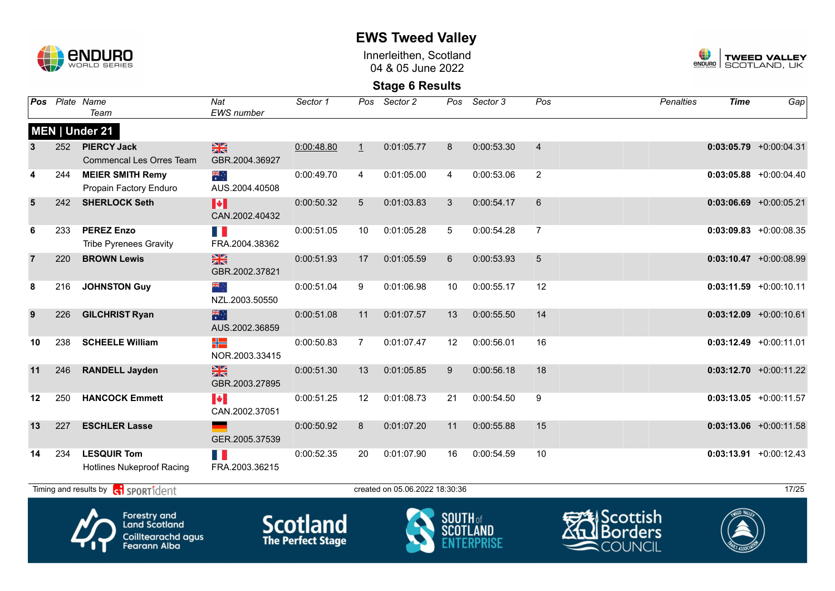

Innerleithen, Scotland 04 & 05 June 2022



| Pos |     | Plate Name<br>Team                                                                       | Nat<br><b>EWS</b> number                | Sector 1                                    | Pos            | Sector 2                       | Pos             | Sector 3   | Pos            | <b>Penalties</b>                                        | <b>Time</b> | Gap                       |
|-----|-----|------------------------------------------------------------------------------------------|-----------------------------------------|---------------------------------------------|----------------|--------------------------------|-----------------|------------|----------------|---------------------------------------------------------|-------------|---------------------------|
|     |     | MEN   Under 21                                                                           |                                         |                                             |                |                                |                 |            |                |                                                         |             |                           |
| 3   | 252 | <b>PIERCY Jack</b><br><b>Commencal Les Orres Team</b>                                    | $\frac{N}{N}$<br>GBR.2004.36927         | 0:00:48.80                                  | $\perp$        | 0:01:05.77                     | 8               | 0:00:53.30 | $\overline{4}$ |                                                         |             | $0:03:05.79$ +0:00:04.31  |
| 4   | 244 | <b>MEIER SMITH Remy</b><br>Propain Factory Enduro                                        | $\frac{1}{\sqrt{2}}$<br>AUS.2004.40508  | 0:00:49.70                                  | 4              | 0:01:05.00                     | $\overline{4}$  | 0:00:53.06 | $\overline{2}$ |                                                         |             | $0:03:05.88$ +0:00:04.40  |
| 5   | 242 | <b>SHERLOCK Seth</b>                                                                     | H<br>CAN.2002.40432                     | 0:00:50.32                                  | 5              | 0:01:03.83                     | 3               | 0:00:54.17 | 6              |                                                         |             | $0:03:06.69$ +0:00:05.21  |
| 6   | 233 | <b>PEREZ Enzo</b><br><b>Tribe Pyrenees Gravity</b>                                       | H.<br>FRA.2004.38362                    | 0:00:51.05                                  | 10             | 0:01:05.28                     | 5               | 0:00:54.28 | $\overline{7}$ |                                                         |             | $0:03:09.83 + 0:00:08.35$ |
| 7   | 220 | <b>BROWN Lewis</b>                                                                       | 噐<br>GBR.2002.37821                     | 0:00:51.93                                  | 17             | 0:01:05.59                     | 6               | 0:00:53.93 | 5              |                                                         |             | $0:03:10.47$ +0:00:08.99  |
| 8   | 216 | <b>JOHNSTON Guy</b>                                                                      | NZL.2003.50550                          | 0:00:51.04                                  | 9              | 0:01:06.98                     | 10              | 0:00:55.17 | 12             |                                                         |             | $0:03:11.59 + 0:00:10.11$ |
| 9   | 226 | <b>GILCHRIST Ryan</b>                                                                    | 米门<br>AUS.2002.36859                    | 0:00:51.08                                  | 11             | 0:01:07.57                     | 13              | 0:00:55.50 | 14             |                                                         |             | $0:03:12.09$ +0:00:10.61  |
| 10  | 238 | <b>SCHEELE William</b>                                                                   | ╬<br>NOR.2003.33415                     | 0:00:50.83                                  | $\overline{7}$ | 0:01:07.47                     | 12              | 0:00:56.01 | 16             |                                                         |             | $0:03:12.49 + 0:00:11.01$ |
| 11  | 246 | <b>RANDELL Jayden</b>                                                                    | $\frac{2}{3}$<br>GBR.2003.27895         | 0:00:51.30                                  | 13             | 0:01:05.85                     | 9               | 0:00:56.18 | 18             |                                                         |             | $0:03:12.70$ +0:00:11.22  |
| 12  | 250 | <b>HANCOCK Emmett</b>                                                                    | $\blacktriangleright$<br>CAN.2002.37051 | 0:00:51.25                                  | 12             | 0:01:08.73                     | 21              | 0:00:54.50 | 9              |                                                         |             | $0:03:13.05 +0:00:11.57$  |
| 13  | 227 | <b>ESCHLER Lasse</b>                                                                     | GER.2005.37539                          | 0:00:50.92                                  | 8              | 0:01:07.20                     | 11              | 0:00:55.88 | 15             |                                                         |             | $0:03:13.06$ +0:00:11.58  |
| 14  | 234 | <b>LESQUIR Tom</b><br><b>Hotlines Nukeproof Racing</b>                                   | H.<br>FRA.2003.36215                    | 0:00:52.35                                  | 20             | 0:01:07.90                     | 16              | 0:00:54.59 | 10             |                                                         |             | $0:03:13.91$ +0:00:12.43  |
|     |     | Timing and results by <b>contains the SPORT1</b> dent                                    |                                         |                                             |                | created on 05.06.2022 18:30:36 |                 |            |                |                                                         |             | 17/25                     |
|     |     | <b>Forestry and</b><br><b>Land Scotland</b><br>Coilltearachd agus<br><b>Fearann Alba</b> |                                         | <b>Scotland</b><br><b>The Perfect Stage</b> |                |                                | <b>SOUTH of</b> |            |                | <b>UScottish</b> ا<br><b>I</b> Borders<br><b>COUNCI</b> |             |                           |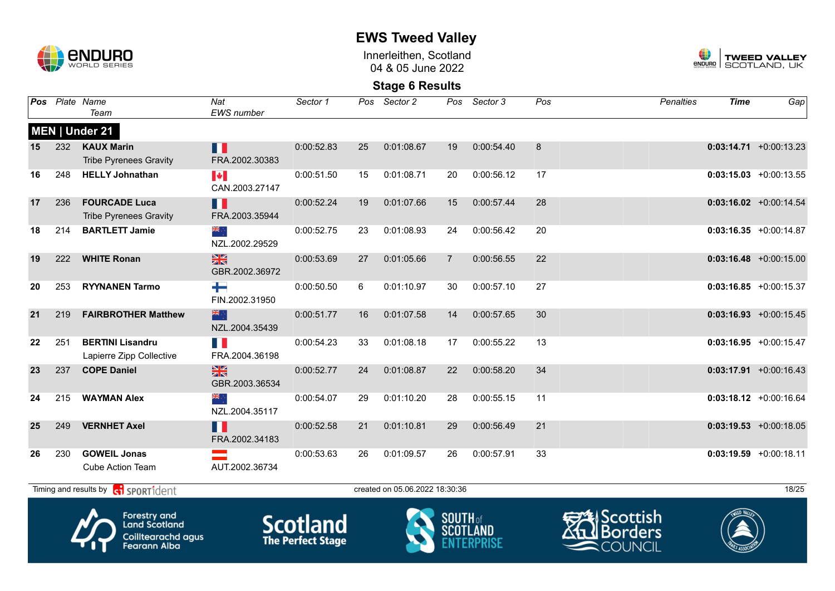

Innerleithen, Scotland 04 & 05 June 2022



| Pos |     | Plate Name<br>Team                                                                       | Nat<br><b>EWS</b> number        | Sector 1                                    | Pos | Sector 2                       | Pos             | Sector 3        | Pos | <b>Penalties</b>                               | <b>Time</b> | Gap                       |
|-----|-----|------------------------------------------------------------------------------------------|---------------------------------|---------------------------------------------|-----|--------------------------------|-----------------|-----------------|-----|------------------------------------------------|-------------|---------------------------|
|     |     | MEN   Under 21                                                                           |                                 |                                             |     |                                |                 |                 |     |                                                |             |                           |
| 15  | 232 | <b>KAUX Marin</b><br><b>Tribe Pyrenees Gravity</b>                                       | П<br>FRA.2002.30383             | 0:00:52.83                                  | 25  | 0:01:08.67                     | 19              | 0:00:54.40      | 8   |                                                |             | $0:03:14.71 + 0:00:13.23$ |
| 16  | 248 | <b>HELLY Johnathan</b>                                                                   | <b>P</b><br>CAN.2003.27147      | 0:00:51.50                                  | 15  | 0:01:08.71                     | 20              | 0:00:56.12      | 17  |                                                |             | $0:03:15.03 + 0:00:13.55$ |
| 17  | 236 | <b>FOURCADE Luca</b><br><b>Tribe Pyrenees Gravity</b>                                    | Ш<br>FRA.2003.35944             | 0:00:52.24                                  | 19  | 0:01:07.66                     | 15              | 0:00:57.44      | 28  |                                                |             | $0:03:16.02 +0:00:14.54$  |
| 18  | 214 | <b>BARTLETT Jamie</b>                                                                    | ▓<br>NZL.2002.29529             | 0:00:52.75                                  | 23  | 0:01:08.93                     | 24              | 0:00:56.42      | 20  |                                                |             | $0:03:16.35 + 0:00:14.87$ |
| 19  | 222 | <b>WHITE Ronan</b>                                                                       | $\frac{N}{N}$<br>GBR.2002.36972 | 0:00:53.69                                  | 27  | 0:01:05.66                     | $\overline{7}$  | 0:00:56.55      | 22  |                                                |             | $0:03:16.48$ +0:00:15.00  |
| 20  | 253 | <b>RYYNANEN Tarmo</b>                                                                    | ┶<br>FIN.2002.31950             | 0:00:50.50                                  | 6   | 0:01:10.97                     | 30              | 0:00:57.10      | 27  |                                                |             | $0:03:16.85 + 0:00:15.37$ |
| 21  | 219 | <b>FAIRBROTHER Matthew</b>                                                               | 米心<br>NZL.2004.35439            | 0:00:51.77                                  | 16  | 0:01:07.58                     | 14              | 0:00:57.65      | 30  |                                                |             | $0:03:16.93 + 0:00:15.45$ |
| 22  | 251 | <b>BERTINI Lisandru</b><br>Lapierre Zipp Collective                                      | T N<br>FRA.2004.36198           | 0:00:54.23                                  | 33  | 0:01:08.18                     | 17              | 0:00:55.22      | 13  |                                                |             | $0:03:16.95$ +0:00:15.47  |
| 23  | 237 | <b>COPE Daniel</b>                                                                       | X<br>GBR.2003.36534             | 0:00:52.77                                  | 24  | 0:01:08.87                     | 22              | 0:00:58.20      | 34  |                                                |             | $0:03:17.91 + 0:00:16.43$ |
| 24  | 215 | <b>WAYMAN Alex</b>                                                                       | ्रें≋<br>NZL.2004.35117         | 0:00:54.07                                  | 29  | 0:01:10.20                     | 28              | 0:00:55.15      | 11  |                                                |             | $0:03:18.12 + 0:00:16.64$ |
| 25  | 249 | <b>VERNHET Axel</b>                                                                      | H<br>FRA.2002.34183             | 0:00:52.58                                  | 21  | 0:01:10.81                     | 29              | 0:00:56.49      | 21  |                                                |             | $0:03:19.53$ +0:00:18.05  |
| 26  | 230 | <b>GOWEIL Jonas</b><br>Cube Action Team                                                  | AUT.2002.36734                  | 0:00:53.63                                  | 26  | 0:01:09.57                     | 26              | 0:00:57.91      | 33  |                                                |             | $0:03:19.59 + 0:00:18.11$ |
|     |     | Timing and results by <b>ci SPORT1</b> dent                                              |                                 |                                             |     | created on 05.06.2022 18:30:36 |                 |                 |     |                                                |             | 18/25                     |
|     |     | <b>Forestry and</b><br><b>Land Scotland</b><br>Coilltearachd agus<br><b>Fearann Alba</b> |                                 | <b>Scotland</b><br><b>The Perfect Stage</b> |     |                                | <b>SOUTH</b> of | <b>SCOTLAND</b> |     | <u> IScottish</u><br><b>Borders</b><br>COUNCIL |             |                           |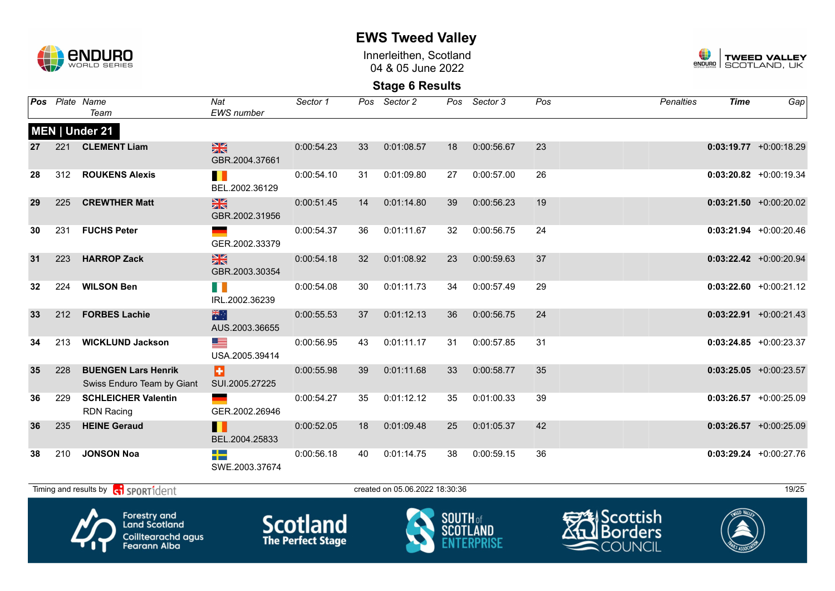

Innerleithen, Scotland 04 & 05 June 2022



| Pos |     | Plate Name<br>Team                                                                | Nat<br><b>EWS</b> number        | Sector 1                                    | Pos | Sector 2                       | Pos             | Sector 3        | Pos | Penalties                                                      | <b>Time</b> | Gap                       |
|-----|-----|-----------------------------------------------------------------------------------|---------------------------------|---------------------------------------------|-----|--------------------------------|-----------------|-----------------|-----|----------------------------------------------------------------|-------------|---------------------------|
|     |     | <b>MEN   Under 21</b>                                                             |                                 |                                             |     |                                |                 |                 |     |                                                                |             |                           |
| 27  | 221 | <b>CLEMENT Liam</b>                                                               | $\frac{N}{N}$<br>GBR.2004.37661 | 0:00:54.23                                  | 33  | 0:01:08.57                     | 18              | 0:00:56.67      | 23  |                                                                |             | $0:03:19.77$ +0:00:18.29  |
| 28  | 312 | <b>ROUKENS Alexis</b>                                                             | . .<br>BEL.2002.36129           | 0:00:54.10                                  | 31  | 0:01:09.80                     | 27              | 0:00:57.00      | 26  |                                                                |             | $0:03:20.82 + 0:00:19.34$ |
| 29  | 225 | <b>CREWTHER Matt</b>                                                              | $\frac{N}{N}$<br>GBR.2002.31956 | 0:00:51.45                                  | 14  | 0:01:14.80                     | 39              | 0:00:56.23      | 19  |                                                                |             | $0:03:21.50$ +0:00:20.02  |
| 30  | 231 | <b>FUCHS Peter</b>                                                                | GER.2002.33379                  | 0:00:54.37                                  | 36  | 0:01:11.67                     | 32              | 0:00:56.75      | 24  |                                                                |             | $0:03:21.94$ +0:00:20.46  |
| 31  | 223 | <b>HARROP Zack</b>                                                                | $\frac{N}{N}$<br>GBR.2003.30354 | 0:00:54.18                                  | 32  | 0:01:08.92                     | 23              | 0:00:59.63      | 37  |                                                                |             | $0:03:22.42$ +0:00:20.94  |
| 32  | 224 | <b>WILSON Ben</b>                                                                 | H. T<br>IRL.2002.36239          | 0:00:54.08                                  | 30  | 0:01:11.73                     | 34              | 0:00:57.49      | 29  |                                                                |             | $0:03:22.60 + 0:00:21.12$ |
| 33  | 212 | <b>FORBES Lachie</b>                                                              | 米<br>AUS.2003.36655             | 0:00:55.53                                  | 37  | 0:01:12.13                     | 36              | 0:00:56.75      | 24  |                                                                |             | $0:03:22.91$ +0:00:21.43  |
| 34  | 213 | <b>WICKLUND Jackson</b>                                                           | <u>sta</u><br>USA.2005.39414    | 0:00:56.95                                  | 43  | 0:01:11.17                     | 31              | 0:00:57.85      | 31  |                                                                |             | $0:03:24.85 + 0:00:23.37$ |
| 35  | 228 | <b>BUENGEN Lars Henrik</b><br>Swiss Enduro Team by Giant                          | Ы<br>SUI.2005.27225             | 0:00:55.98                                  | 39  | 0:01:11.68                     | 33              | 0:00:58.77      | 35  |                                                                |             | $0:03:25.05$ +0:00:23.57  |
| 36  | 229 | <b>SCHLEICHER Valentin</b><br><b>RDN Racing</b>                                   | GER.2002.26946                  | 0:00:54.27                                  | 35  | 0:01:12.12                     | 35              | 0:01:00.33      | 39  |                                                                |             | $0:03:26.57 +0:00:25.09$  |
| 36  | 235 | <b>HEINE Geraud</b>                                                               | Ш<br>BEL.2004.25833             | 0:00:52.05                                  | 18  | 0:01:09.48                     | 25              | 0:01:05.37      | 42  |                                                                |             | $0:03:26.57 +0:00:25.09$  |
| 38  | 210 | <b>JONSON Noa</b>                                                                 | -13<br>SWE.2003.37674           | 0:00:56.18                                  | 40  | 0:01:14.75                     | 38              | 0:00:59.15      | 36  |                                                                |             | $0:03:29.24$ +0:00:27.76  |
|     |     | Timing and results by contract of the SPORT1 dent                                 |                                 |                                             |     | created on 05.06.2022 18:30:36 |                 |                 |     |                                                                |             | 19/25                     |
|     |     | Forestry and<br><b>Land Scotland</b><br>Coilltearachd agus<br><b>Fearann Alba</b> |                                 | <b>Scotland</b><br><b>The Perfect Stage</b> |     |                                | <b>SOUTH</b> of | <b>SCOTLAND</b> |     | <del>∋</del> ∕≹IScottish<br><b>I</b> Borders<br><b>COUNCIL</b> |             |                           |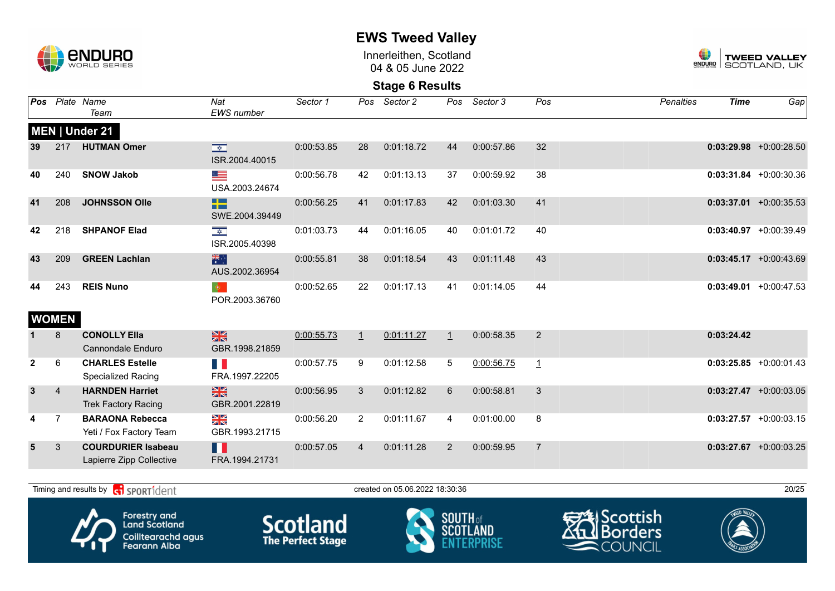

Innerleithen, Scotland 04 & 05 June 2022



#### **Stage 6 Results**

| Pos            |                | Plate Name<br>Team                                    | Nat<br><b>EWS</b> number                                    | Sector 1   | Pos            | Sector 2   | Pos          | Sector 3   | Pos            | <b>Penalties</b> | <b>Time</b> | Gap                       |
|----------------|----------------|-------------------------------------------------------|-------------------------------------------------------------|------------|----------------|------------|--------------|------------|----------------|------------------|-------------|---------------------------|
|                |                | MEN   Under 21                                        |                                                             |            |                |            |              |            |                |                  |             |                           |
| 39             | 217            | <b>HUTMAN Omer</b>                                    | $\overline{\mathbf{R}^{(1)}_{\mathbf{X}}$<br>ISR.2004.40015 | 0:00:53.85 | 28             | 0:01:18.72 | 44           | 0:00:57.86 | 32             |                  |             | $0:03:29.98$ +0:00:28.50  |
| 40             | 240            | <b>SNOW Jakob</b>                                     | <u>est</u><br>USA.2003.24674                                | 0:00:56.78 | 42             | 0:01:13.13 | 37           | 0:00:59.92 | 38             |                  |             | $0:03:31.84 + 0:00:30.36$ |
| 41             | 208            | <b>JOHNSSON Olle</b>                                  | <b>Billian</b><br>n m<br>SWE.2004.39449                     | 0:00:56.25 | 41             | 0:01:17.83 | 42           | 0:01:03.30 | 41             |                  |             | $0:03:37.01 + 0:00:35.53$ |
| 42             | 218            | <b>SHPANOF Elad</b>                                   | $\frac{1}{\sqrt{2}}$<br>ISR.2005.40398                      | 0:01:03.73 | 44             | 0:01:16.05 | 40           | 0:01:01.72 | 40             |                  |             | $0:03:40.97$ +0:00:39.49  |
| 43             | 209            | <b>GREEN Lachlan</b>                                  | 米<br>AUS.2002.36954                                         | 0:00:55.81 | 38             | 0:01:18.54 | 43           | 0:01:11.48 | 43             |                  |             | $0:03:45.17 + 0:00:43.69$ |
| 44             | 243            | <b>REIS Nuno</b>                                      | $ \Phi\rangle$<br>POR.2003.36760                            | 0:00:52.65 | 22             | 0:01:17.13 | 41           | 0:01:14.05 | 44             |                  |             | $0:03:49.01 + 0:00:47.53$ |
|                | <b>WOMEN</b>   |                                                       |                                                             |            |                |            |              |            |                |                  |             |                           |
|                | 8              | <b>CONOLLY Ella</b><br><b>Cannondale Enduro</b>       | $\frac{N}{N}$<br>GBR.1998.21859                             | 0:00:55.73 | $\perp$        | 0:01:11.27 | $\mathbf{1}$ | 0:00:58.35 | $\overline{2}$ |                  | 0:03:24.42  |                           |
| $\overline{2}$ | 6              | <b>CHARLES Estelle</b><br>Specialized Racing          | H N<br>FRA.1997.22205                                       | 0:00:57.75 | 9              | 0:01:12.58 | 5            | 0:00:56.75 | $\mathbf{1}$   |                  |             | $0:03:25.85$ +0:00:01.43  |
| $\mathbf{3}$   | $\overline{4}$ | <b>HARNDEN Harriet</b><br><b>Trek Factory Racing</b>  | $\frac{N}{N}$<br>GBR.2001.22819                             | 0:00:56.95 | 3              | 0:01:12.82 | 6            | 0:00:58.81 | 3              |                  |             | $0:03:27.47 + 0:00:03.05$ |
|                | $\overline{7}$ | <b>BARAONA Rebecca</b><br>Yeti / Fox Factory Team     | $\frac{\sum x}{\sum x}$<br>GBR.1993.21715                   | 0:00:56.20 | $\overline{2}$ | 0:01:11.67 | 4            | 0:01:00.00 | 8              |                  |             | $0:03:27.57$ +0:00:03.15  |
| $5\phantom{1}$ | 3              | <b>COURDURIER Isabeau</b><br>Lapierre Zipp Collective | H<br>FRA.1994.21731                                         | 0:00:57.05 | $\overline{4}$ | 0:01:11.28 | 2            | 0:00:59.95 | $\overline{7}$ |                  |             | $0:03:27.67$ +0:00:03.25  |

Timing and results by  $\overline{c_1}$  SPORT1 $\overline{1}$  dentity the created on 05.06.2022 18:30:36 20/25









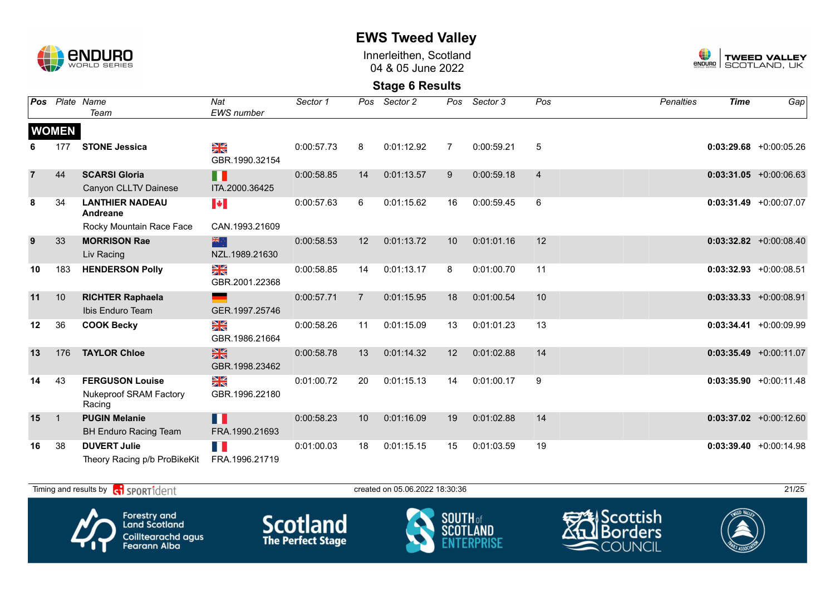

Innerleithen, Scotland 04 & 05 June 2022



| Pos            |                | Plate Name<br>Team                                         | Nat<br><b>EWS</b> number        | Sector 1   | Pos            | Sector 2   | Pos            | Sector 3   | Pos            | <b>Penalties</b> | <b>Time</b> | Gap                       |
|----------------|----------------|------------------------------------------------------------|---------------------------------|------------|----------------|------------|----------------|------------|----------------|------------------|-------------|---------------------------|
|                | <b>WOMEN</b>   |                                                            |                                 |            |                |            |                |            |                |                  |             |                           |
|                | 177            | <b>STONE Jessica</b>                                       | NK<br>ZK<br>GBR.1990.32154      | 0:00:57.73 | 8              | 0:01:12.92 | $\overline{7}$ | 0:00:59.21 | 5              |                  |             | $0:03:29.68$ +0:00:05.26  |
| $\overline{7}$ | 44             | <b>SCARSI Gloria</b><br>Canyon CLLTV Dainese               | H<br>ITA.2000.36425             | 0:00:58.85 | 14             | 0:01:13.57 | 9              | 0:00:59.18 | $\overline{4}$ |                  |             | $0:03:31.05 +0:00:06.63$  |
| 8              | 34             | <b>LANTHIER NADEAU</b><br>Andreane                         | $\blacktriangleright$           | 0:00:57.63 | 6              | 0:01:15.62 | 16             | 0:00:59.45 | 6              |                  |             | $0:03:31.49 + 0:00:07.07$ |
|                |                | Rocky Mountain Race Face                                   | CAN.1993.21609                  |            |                |            |                |            |                |                  |             |                           |
| 9              | 33             | <b>MORRISON Rae</b><br>Liv Racing                          | 하다<br>NZL.1989.21630            | 0:00:58.53 | 12             | 0:01:13.72 | 10             | 0:01:01.16 | 12             |                  |             | $0:03:32.82 + 0:00:08.40$ |
| 10             | 183            | <b>HENDERSON Polly</b>                                     | ≥k<br>GBR.2001.22368            | 0:00:58.85 | 14             | 0:01:13.17 | 8              | 0:01:00.70 | 11             |                  |             | $0:03:32.93$ +0:00:08.51  |
| 11             | 10             | <b>RICHTER Raphaela</b><br>Ibis Enduro Team                | GER.1997.25746                  | 0:00:57.71 | $\overline{7}$ | 0:01:15.95 | 18             | 0:01:00.54 | 10             |                  |             | $0:03:33.33 + 0:00:08.91$ |
| 12             | 36             | <b>COOK Becky</b>                                          | N<br>X<br>GBR.1986.21664        | 0:00:58.26 | 11             | 0:01:15.09 | 13             | 0:01:01.23 | 13             |                  | 0:03:34.41  | +0:00:09.99               |
| 13             | 176            | <b>TAYLOR Chloe</b>                                        | $\frac{N}{N}$<br>GBR.1998.23462 | 0:00:58.78 | 13             | 0:01:14.32 | 12             | 0:01:02.88 | 14             |                  |             | $0:03:35.49$ +0:00:11.07  |
| 14             | 43             | <b>FERGUSON Louise</b><br>Nukeproof SRAM Factory<br>Racing | ≫<br>X<br>GBR.1996.22180        | 0:01:00.72 | 20             | 0:01:15.13 | 14             | 0:01:00.17 | 9              |                  |             | $0:03:35.90 + 0:00:11.48$ |
| 15             | $\overline{1}$ | <b>PUGIN Melanie</b><br><b>BH Enduro Racing Team</b>       | H.<br>FRA.1990.21693            | 0:00:58.23 | 10             | 0:01:16.09 | 19             | 0:01:02.88 | 14             |                  |             | $0:03:37.02 +0:00:12.60$  |
| 16             | 38             | <b>DUVERT Julie</b><br>Theory Racing p/b ProBikeKit        | FH 1<br>FRA.1996.21719          | 0:01:00.03 | 18             | 0:01:15.15 | 15             | 0:01:03.59 | 19             |                  |             | $0:03:39.40 +0:00:14.98$  |

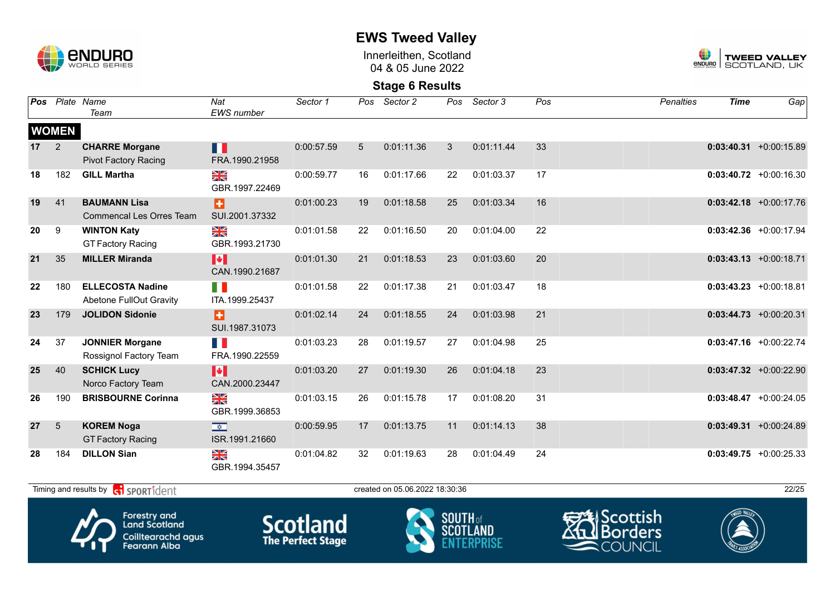

Innerleithen, Scotland 04 & 05 June 2022



**Stage 6 Results**

| <b>Pos</b>      |                | Plate Name<br>Team                                                                                                                                         | Nat<br><b>EWS</b> number               | Sector 1   | Pos         | Sector 2                       | Pos | Sector 3   | Pos | <b>Penalties</b> | <b>Time</b> | Gap                       |
|-----------------|----------------|------------------------------------------------------------------------------------------------------------------------------------------------------------|----------------------------------------|------------|-------------|--------------------------------|-----|------------|-----|------------------|-------------|---------------------------|
|                 | <b>WOMEN</b>   |                                                                                                                                                            |                                        |            |             |                                |     |            |     |                  |             |                           |
| 17 <sup>2</sup> | 2              | <b>CHARRE Morgane</b><br><b>Pivot Factory Racing</b>                                                                                                       | Ш<br>FRA.1990.21958                    | 0:00:57.59 | $5^{\circ}$ | 0:01:11.36                     | 3   | 0:01:11.44 | 33  |                  |             | $0:03:40.31 + 0:00:15.89$ |
| 18              | 182            | <b>GILL Martha</b>                                                                                                                                         | ≫<br>X<br>GBR.1997.22469               | 0:00:59.77 | 16          | 0:01:17.66                     | 22  | 0:01:03.37 | 17  |                  |             | $0:03:40.72$ +0:00:16.30  |
| 19              | 41             | <b>BAUMANN Lisa</b><br><b>Commencal Les Orres Team</b>                                                                                                     | B<br>SUI.2001.37332                    | 0:01:00.23 | 19          | 0:01:18.58                     | 25  | 0:01:03.34 | 16  |                  |             | $0:03:42.18$ +0:00:17.76  |
| 20              | 9              | <b>WINTON Katy</b><br><b>GT Factory Racing</b>                                                                                                             | NK<br>ZK<br>GBR.1993.21730             | 0:01:01.58 | 22          | 0:01:16.50                     | 20  | 0:01:04.00 | 22  |                  |             | $0:03:42.36$ +0:00:17.94  |
| 21              | 35             | <b>MILLER Miranda</b>                                                                                                                                      | M<br>CAN.1990.21687                    | 0:01:01.30 | 21          | 0:01:18.53                     | 23  | 0:01:03.60 | 20  |                  |             | $0:03:43.13 + 0:00:18.71$ |
| 22              | 180            | <b>ELLECOSTA Nadine</b><br>Abetone FullOut Gravity                                                                                                         | FI I<br>ITA.1999.25437                 | 0:01:01.58 | 22          | 0:01:17.38                     | 21  | 0:01:03.47 | 18  |                  |             | $0:03:43.23 + 0:00:18.81$ |
| 23              | 179            | <b>JOLIDON Sidonie</b>                                                                                                                                     | B<br>SUI.1987.31073                    | 0:01:02.14 | 24          | 0:01:18.55                     | 24  | 0:01:03.98 | 21  |                  |             | $0:03:44.73 + 0:00:20.31$ |
| 24              | 37             | <b>JONNIER Morgane</b><br>Rossignol Factory Team                                                                                                           | T N<br>FRA.1990.22559                  | 0:01:03.23 | 28          | 0:01:19.57                     | 27  | 0:01:04.98 | 25  |                  |             | $0:03:47.16$ +0:00:22.74  |
| 25              | 40             | <b>SCHICK Lucy</b><br>Norco Factory Team                                                                                                                   | H<br>CAN.2000.23447                    | 0:01:03.20 | 27          | 0:01:19.30                     | 26  | 0:01:04.18 | 23  |                  |             | $0:03:47.32 +0:00:22.90$  |
| 26              | 190            | <b>BRISBOURNE Corinna</b>                                                                                                                                  | ≫<br>X<br>GBR.1999.36853               | 0:01:03.15 | 26          | 0:01:15.78                     | 17  | 0:01:08.20 | 31  |                  |             | $0:03:48.47$ +0:00:24.05  |
| 27              | $\overline{5}$ | <b>KOREM Noga</b><br><b>GT Factory Racing</b>                                                                                                              | $\frac{1}{\sqrt{2}}$<br>ISR.1991.21660 | 0:00:59.95 | 17          | 0:01:13.75                     | 11  | 0:01:14.13 | 38  |                  |             | $0:03:49.31 + 0:00:24.89$ |
| 28              | 184            | <b>DILLON Sian</b>                                                                                                                                         | N<br>X<br>GBR.1994.35457               | 0:01:04.82 | 32          | 0:01:19.63                     | 28  | 0:01:04.49 | 24  |                  |             | $0:03:49.75 +0:00:25.33$  |
|                 |                | Timing and results by $\left  \begin{array}{c} \bullet \\ \bullet \end{array} \right $ SPORT1 $\left  \begin{array}{c} \circ \\ \circ \end{array} \right $ |                                        |            |             | created on 05.06.2022 18:30:36 |     |            |     |                  |             | 22/25                     |









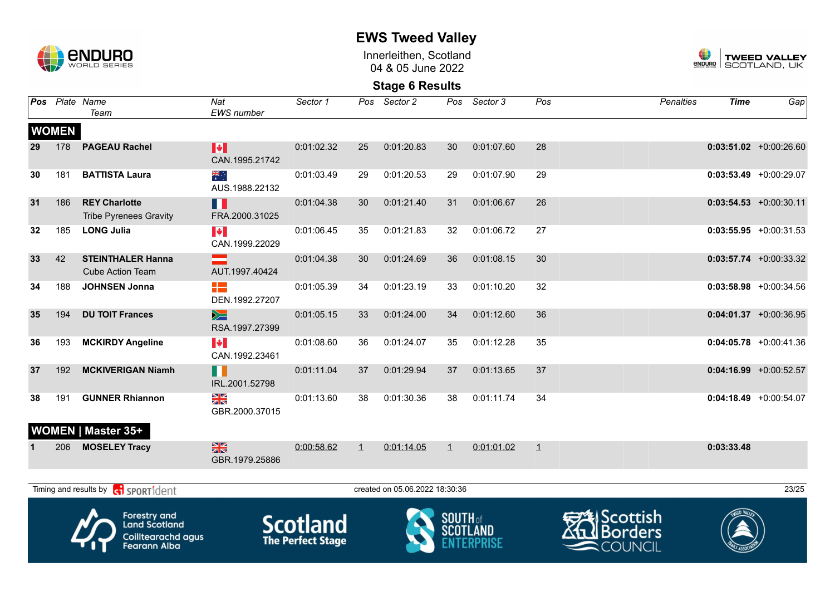

**EWS Tweed Valley**

Innerleithen, Scotland 04 & 05 June 2022



| Pos |              | Plate Name<br>Team                                                                       | Nat<br><b>EWS</b> number                | Sector 1                                    | Pos     | Sector 2                       | Pos             | Sector 3   | Pos     | <b>Penalties</b>                                                    | <b>Time</b> | Gap                       |
|-----|--------------|------------------------------------------------------------------------------------------|-----------------------------------------|---------------------------------------------|---------|--------------------------------|-----------------|------------|---------|---------------------------------------------------------------------|-------------|---------------------------|
|     | <b>WOMEN</b> |                                                                                          |                                         |                                             |         |                                |                 |            |         |                                                                     |             |                           |
| 29  | 178          | <b>PAGEAU Rachel</b>                                                                     | M<br>CAN.1995.21742                     | 0:01:02.32                                  | 25      | 0:01:20.83                     | 30              | 0:01:07.60 | 28      |                                                                     |             | $0:03:51.02 +0:00:26.60$  |
| 30  | 181          | <b>BATTISTA Laura</b>                                                                    | ैं<br>AUS.1988.22132                    | 0:01:03.49                                  | 29      | 0:01:20.53                     | 29              | 0:01:07.90 | 29      |                                                                     |             | $0:03:53.49$ +0:00:29.07  |
| 31  | 186          | <b>REY Charlotte</b><br><b>Tribe Pyrenees Gravity</b>                                    | Ш<br>FRA.2000.31025                     | 0:01:04.38                                  | 30      | 0:01:21.40                     | 31              | 0:01:06.67 | 26      |                                                                     |             | $0:03:54.53 + 0:00:30.11$ |
| 32  | 185          | <b>LONG Julia</b>                                                                        | $\blacktriangleright$<br>CAN.1999.22029 | 0:01:06.45                                  | 35      | 0:01:21.83                     | 32              | 0:01:06.72 | 27      |                                                                     |             | $0:03:55.95$ +0:00:31.53  |
| 33  | 42           | <b>STEINTHALER Hanna</b><br><b>Cube Action Team</b>                                      | AUT.1997.40424                          | 0:01:04.38                                  | 30      | 0:01:24.69                     | 36              | 0:01:08.15 | 30      |                                                                     |             | $0:03:57.74$ +0:00:33.32  |
| 34  | 188          | <b>JOHNSEN Jonna</b>                                                                     | ٣.<br>DEN.1992.27207                    | 0:01:05.39                                  | 34      | 0:01:23.19                     | 33              | 0:01:10.20 | 32      |                                                                     |             | $0:03:58.98$ +0:00:34.56  |
| 35  | 194          | <b>DU TOIT Frances</b>                                                                   | $\geq$<br>RSA.1997.27399                | 0:01:05.15                                  | 33      | 0:01:24.00                     | 34              | 0:01:12.60 | 36      |                                                                     |             | $0:04:01.37 +0:00:36.95$  |
| 36  | 193          | <b>MCKIRDY Angeline</b>                                                                  | N.<br>CAN.1992.23461                    | 0:01:08.60                                  | 36      | 0:01:24.07                     | 35              | 0:01:12.28 | 35      |                                                                     |             | $0:04:05.78$ +0:00:41.36  |
| 37  | 192          | <b>MCKIVERIGAN Niamh</b>                                                                 | n<br>IRL.2001.52798                     | 0:01:11.04                                  | 37      | 0:01:29.94                     | 37              | 0:01:13.65 | 37      |                                                                     |             | $0:04:16.99$ +0:00:52.57  |
| 38  | 191          | <b>GUNNER Rhiannon</b>                                                                   | XK<br>GBR.2000.37015                    | 0:01:13.60                                  | 38      | 0:01:30.36                     | 38              | 0:01:11.74 | 34      |                                                                     |             | $0:04:18.49 + 0:00:54.07$ |
|     | 206          | <b>WOMEN   Master 35+</b><br><b>MOSELEY Tracy</b>                                        | $\frac{N}{N}$<br>GBR.1979.25886         | 0:00:58.62                                  | $\perp$ | 0:01:14.05                     | $\overline{1}$  | 0:01:01.02 | $\perp$ |                                                                     | 0:03:33.48  |                           |
|     |              | Timing and results by contrident                                                         |                                         |                                             |         | created on 05.06.2022 18:30:36 |                 |            |         |                                                                     |             | 23/25                     |
|     |              | <b>Forestry and</b><br><b>Land Scotland</b><br>Coilltearachd agus<br><b>Fearann Alba</b> |                                         | <b>Scotland</b><br><b>The Perfect Stage</b> |         |                                | <b>SOUTH</b> of | SCOTLAND   |         | <del>SA</del> lScottish<br><b>Borders</b><br>$\blacksquare$ COUNCIL |             |                           |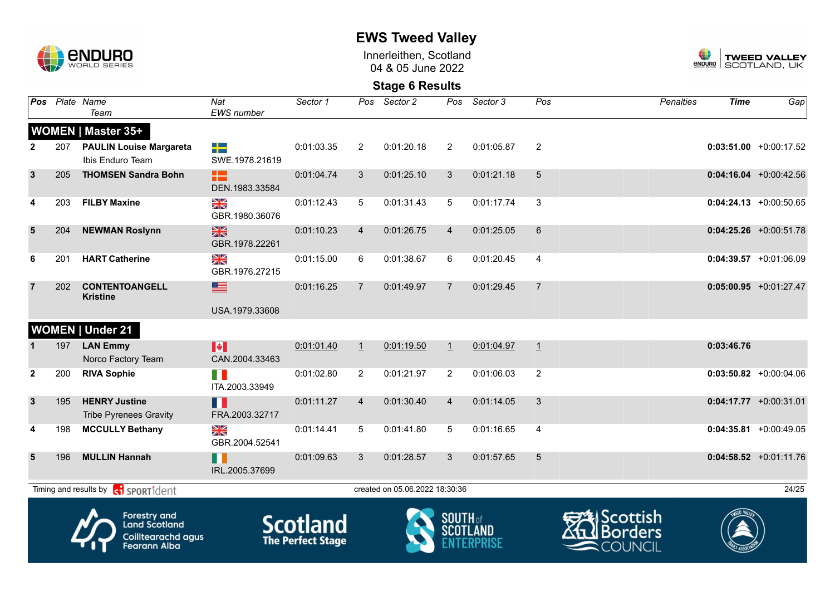

Innerleithen, Scotland 04 & 05 June 2022



|                |                                                                                          | Pos Plate Name<br>Team                                      | Nat<br>EWS number               | Sector 1                                    | Pos            | Sector 2                       | Pos             | Sector 3   | Pos            | <b>Penalties</b>                                           | <b>Time</b> | Gap                       |
|----------------|------------------------------------------------------------------------------------------|-------------------------------------------------------------|---------------------------------|---------------------------------------------|----------------|--------------------------------|-----------------|------------|----------------|------------------------------------------------------------|-------------|---------------------------|
|                |                                                                                          | <b>WOMEN   Master 35+</b>                                   |                                 |                                             |                |                                |                 |            |                |                                                            |             |                           |
| $\mathbf{2}$   | 207                                                                                      | <b>PAULIN Louise Margareta</b><br>Ibis Enduro Team          | 2년<br>SWE.1978.21619            | 0:01:03.35                                  | $\overline{2}$ | 0:01:20.18                     | 2               | 0:01:05.87 | $\overline{2}$ |                                                            |             | $0:03:51.00$ +0:00:17.52  |
| $\mathbf{3}$   | 205                                                                                      | <b>THOMSEN Sandra Bohn</b>                                  | æ<br>DEN.1983.33584             | 0:01:04.74                                  | 3              | 0:01:25.10                     | 3               | 0:01:21.18 | 5              |                                                            |             | $0:04:16.04$ +0:00:42.56  |
| 4              | 203                                                                                      | <b>FILBY Maxine</b>                                         | XK<br>ZK<br>GBR.1980.36076      | 0:01:12.43                                  | 5              | 0:01:31.43                     | 5               | 0:01:17.74 | 3              |                                                            |             | $0:04:24.13 + 0:00:50.65$ |
| $5\phantom{1}$ | 204                                                                                      | <b>NEWMAN Roslynn</b>                                       | $\frac{N}{N}$<br>GBR.1978.22261 | 0:01:10.23                                  | $\overline{4}$ | 0:01:26.75                     | $\overline{4}$  | 0:01:25.05 | 6              |                                                            |             | $0:04:25.26 + 0:00:51.78$ |
| 6              | 201                                                                                      | <b>HART Catherine</b>                                       | XK<br>ZK<br>GBR.1976.27215      | 0:01:15.00                                  | 6              | 0:01:38.67                     | 6               | 0:01:20.45 | 4              |                                                            |             | $0:04:39.57 + 0:01:06.09$ |
| $\overline{7}$ | 202                                                                                      | <b>CONTENTOANGELL</b><br><b>Kristine</b>                    | 토<br>USA.1979.33608             | 0:01:16.25                                  | $\overline{7}$ | 0:01:49.97                     | 7               | 0:01:29.45 | $\overline{7}$ |                                                            |             | $0:05:00.95$ +0:01:27.47  |
|                |                                                                                          | <b>WOMEN   Under 21</b>                                     |                                 |                                             |                |                                |                 |            |                |                                                            |             |                           |
|                | 197                                                                                      | <b>LAN Emmy</b>                                             | H                               | 0:01:01.40                                  | $\perp$        | 0:01:19.50                     | $\mathbf{1}$    | 0:01:04.97 | $\perp$        |                                                            | 0:03:46.76  |                           |
|                |                                                                                          | Norco Factory Team                                          | CAN.2004.33463                  |                                             |                |                                |                 |            |                |                                                            |             |                           |
| $\mathbf{2}$   | 200                                                                                      | <b>RIVA Sophie</b>                                          | FI N<br>ITA.2003.33949          | 0:01:02.80                                  | $\overline{2}$ | 0:01:21.97                     | 2               | 0:01:06.03 | $\overline{2}$ |                                                            |             | $0:03:50.82$ +0:00:04.06  |
| $\mathbf{3}$   | 195                                                                                      | <b>HENRY Justine</b><br><b>Tribe Pyrenees Gravity</b>       | H<br>FRA.2003.32717             | 0:01:11.27                                  | $\overline{4}$ | 0:01:30.40                     | $\overline{4}$  | 0:01:14.05 | 3              |                                                            |             | $0:04:17.77$ +0:00:31.01  |
| 4              | 198                                                                                      | <b>MCCULLY Bethany</b>                                      | ≥k<br>X<br>GBR.2004.52541       | 0:01:14.41                                  | 5              | 0:01:41.80                     | 5               | 0:01:16.65 | 4              |                                                            |             | $0:04:35.81$ +0:00:49.05  |
| 5              | 196                                                                                      | <b>MULLIN Hannah</b>                                        | H<br>IRL.2005.37699             | 0:01:09.63                                  | 3              | 0:01:28.57                     | 3               | 0:01:57.65 | 5              |                                                            |             | $0:04:58.52$ +0:01:11.76  |
|                |                                                                                          | Timing and results by <b>container that the SPORT1</b> dent |                                 |                                             |                | created on 05.06.2022 18:30:36 |                 |            |                |                                                            |             | 24/25                     |
|                | <b>Forestry and</b><br><b>Land Scotland</b><br>Coilltearachd agus<br><b>Fearann Alba</b> |                                                             |                                 | <b>Scotland</b><br><b>The Perfect Stage</b> |                |                                | <b>SOUTH</b> of |            |                | <i><b>Scottish</b></i><br><b>Borders</b><br><b>COUNCIL</b> |             |                           |